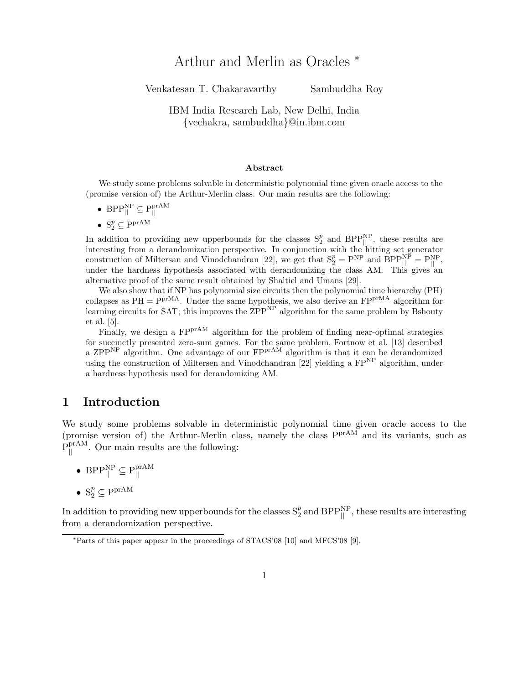# Arthur and Merlin as Oracles <sup>∗</sup>

Venkatesan T. Chakaravarthy Sambuddha Roy

### IBM India Research Lab, New Delhi, India {vechakra, sambuddha}@in.ibm.com

#### Abstract

We study some problems solvable in deterministic polynomial time given oracle access to the (promise version of) the Arthur-Merlin class. Our main results are the following:

- BPP $_{\parallel}^{\text{NP}} \subseteq \text{P}_{\parallel}^{\text{prAM}}$ ||
- $S_2^p \subseteq P^{\text{prAM}}$

In addition to providing new upperbounds for the classes  $S_2^p$  and  $BPP_{||}^{NP}$ , these results are interesting from a derandomization perspective. In conjunction with the hitting set generator construction of Miltersan and Vinodchandran [22], we get that  $S_2^p = P^{NP}$  and  $BPP_{||}^{NP} = P_{||}^{NP}$ , under the hardness hypothesis associated with derandomizing the class AM. This gives an alternative proof of the same result obtained by Shaltiel and Umans [29].

We also show that if NP has polynomial size circuits then the polynomial time hierarchy (PH) collapses as  $PH = Ppr^{MA}$ . Under the same hypothesis, we also derive an  $FPP^{nMA}$  algorithm for learning circuits for SAT; this improves the  $\text{ZPP}^{\text{NP}}$  algorithm for the same problem by Bshouty et al. [5].

Finally, we design a FP<sup>prAM</sup> algorithm for the problem of finding near-optimal strategies for succinctly presented zero-sum games. For the same problem, Fortnow et al. [13] described a ZPP<sup>NP</sup> algorithm. One advantage of our FP<sup>prAM</sup> algorithm is that it can be derandomized using the construction of Miltersen and Vinodchandran [22] yielding a  $FP<sup>NP</sup>$  algorithm, under a hardness hypothesis used for derandomizing AM.

### 1 Introduction

We study some problems solvable in deterministic polynomial time given oracle access to the (promise version of) the Arthur-Merlin class, namely the class  $P<sup>prAM</sup>$  and its variants, such as  $P_{\parallel}^{\text{prAM}}$ . Our main results are the following:

• BPP $_{\parallel}^{\text{NP}} \subseteq \text{P}_{\parallel}^{\text{prAM}}$ || •  $S_2^p \subseteq P^{prAM}$ 

In addition to providing new upperbounds for the classes  $S_2^p$  and  $BPP_{||}^{NP}$ , these results are interesting from a derandomization perspective.

<sup>∗</sup>Parts of this paper appear in the proceedings of STACS'08 [10] and MFCS'08 [9].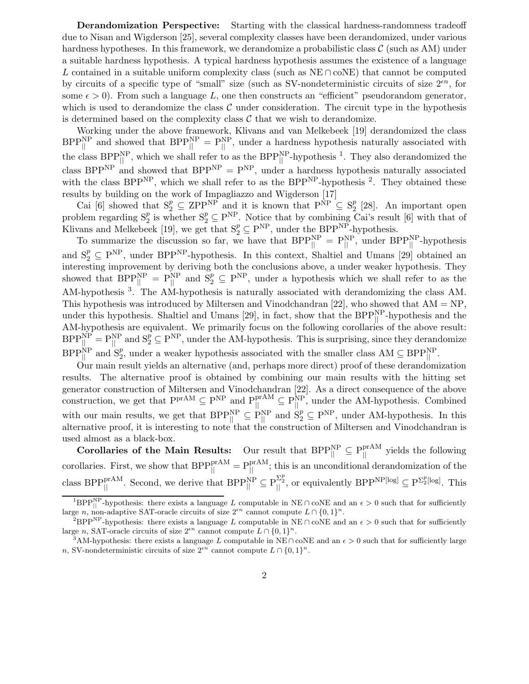Derandomization Perspective: Starting with the classical hardness-randomness tradeoff due to Nisan and Wigderson [25], several complexity classes have been derandomized, under various hardness hypotheses. In this framework, we derandomize a probabilistic class  $\mathcal C$  (such as AM) under a suitable hardness hypothesis. A typical hardness hypothesis assumes the existence of a language L contained in a suitable uniform complexity class (such as  $NE \cap coNE$ ) that cannot be computed by circuits of a specific type of "small" size (such as SV-nondeterministic circuits of size  $2^{en}$ , for some  $\epsilon > 0$ ). From such a language L, one then constructs an "efficient" pseudorandom generator, which is used to derandomize the class  $\mathcal C$  under consideration. The circuit type in the hypothesis is determined based on the complexity class  $\mathcal C$  that we wish to derandomize.

Working under the above framework, Klivans and van Melkebeek [19] derandomized the class  $BPP_{\parallel}^{NP}$  and showed that  $BPP_{\parallel}^{NP} = P_{\parallel}^{NP}$ , under a hardness hypothesis naturally associated with the class  $BPP_{\parallel}^{NP}$ , which we shall refer to as the  $BPP_{\parallel}^{NP}$ -hypothesis <sup>1</sup>. They also derandomized the class BPP<sup>NP</sup> and showed that BPP<sup>NP</sup> =  $P^{NP}$ , under a hardness hypothesis naturally associated with the class  $BPP^{NP}$ , which we shall refer to as the  $BPP^{NP}$ -hypothesis <sup>2</sup>. They obtained these results by building on the work of Impagliazzo and Wigderson [17]

Cai [6] showed that  $S_2^p \subseteq \mathbb{ZPP}^{NP}$  and it is known that  $P^{\text{NP}} \subseteq S_2^p$  $2^p$  [28]. An important open problem regarding  $S_2^p$  is whether  $S_2^p \subseteq P^{NP}$ . Notice that by combining Cai's result [6] with that of Klivans and Melkebeek [19], we get that  $S_2^p \subseteq P^{NP}$ , under the  $BPP^{NP}$ -hypothesis.

To summarize the discussion so far, we have that  $BPP_{\parallel}^{NP} = P_{\parallel}^{NP}$ , under  $BPP_{\parallel}^{NP}$ -hypothesis and  $S_2^p \subseteq P^{NP}$ , under BPP<sup>NP</sup>-hypothesis. In this context, Shaltiel and Umans [29] obtained an interesting improvement by deriving both the conclusions above, a under weaker hypothesis. They showed that  $BPP_{\parallel}^{NP} = P_{\parallel}^{NP}$  and  $S_2^p \subseteq P^{NP}$ , under a hypothesis which we shall refer to as the AM-hypothesis<sup>3</sup>. The AM-hypothesis is naturally associated with derandomizing the class AM. This hypothesis was introduced by Miltersen and Vinodchandran [22], who showed that  $AM = NP$ , under this hypothesis. Shaltiel and Umans [29], in fact, show that the  $BPP_{\parallel}^{NP}$ -hypothesis and the AM-hypothesis are equivalent. We primarily focus on the following corollaries of the above result:  $BPP_{\parallel}^{NP} = P_{\parallel}^{NP}$  and  $S_2^p \subseteq P^{NP}$ , under the AM-hypothesis. This is surprising, since they derandomize  $BPP_{\parallel}^{\text{NP}}$  and  $S_2^p$ , under a weaker hypothesis associated with the smaller class  $AM \subseteq BPP_{\parallel}^{\text{NP}}$ .

Our main result yields an alternative (and, perhaps more direct) proof of these derandomization results. The alternative proof is obtained by combining our main results with the hitting set generator construction of Miltersen and Vinodchandran [22]. As a direct consequence of the above construction, we get that  $P_{\parallel}^{prAM} \subseteq P_{\parallel}^{prAM} \subseteq P_{\parallel}^{NP}$ , under the AM-hypothesis. Combined with our main results, we get that  $BPP_{\parallel}^{NP} \subseteq P_{\parallel}^{NP}$  and  $S_2^p \subseteq P^{NP}$ , under AM-hypothesis. In this alternative proof, it is interesting to note that the construction of Miltersen and Vinodchandran is used almost as a black-box.

Corollaries of the Main Results: Our result that  $BPP_{\parallel}^{NP} \subseteq P_{\parallel}^{prAM}$  yields the following corollaries. First, we show that  $BPP_{\parallel}^{\text{prAM}} = P_{\parallel}^{\text{prAM}}$ ; this is an unconditional derandomization of the class  $BPP_{\parallel}^{\text{prAM}}$ . Second, we derive that  $BPP_{\parallel}^{\text{NP}} \subseteq P_{\parallel}^{\Sigma_{Z}^{p}}$ , or equivalently  $BPP_{\parallel}^{\text{NP}}[log] \subseteq P_{Z}^{\Sigma_{Z}^{p}}[log]$ . This

<sup>&</sup>lt;sup>1</sup>BPP<sup>NP</sup>-hypothesis: there exists a language L computable in NE ∩ coNE and an  $\epsilon > 0$  such that for sufficiently large n, non-adaptive SAT-oracle circuits of size  $2^{\epsilon n}$  cannot compute  $L \cap \{0,1\}^n$ .

<sup>&</sup>lt;sup>2</sup>BPP<sup>NP</sup>-hypothesis: there exists a language L computable in NE ∩ coNE and an  $\epsilon > 0$  such that for sufficiently large n, SAT-oracle circuits of size  $2^{\epsilon n}$  cannot compute  $L \cap \{0, 1\}^n$ .

<sup>&</sup>lt;sup>3</sup>AM-hypothesis: there exists a language L computable in NE∩ coNE and an  $\epsilon > 0$  such that for sufficiently large n, SV-nondeterministic circuits of size  $2^{\epsilon n}$  cannot compute  $L \cap \{0,1\}^n$ .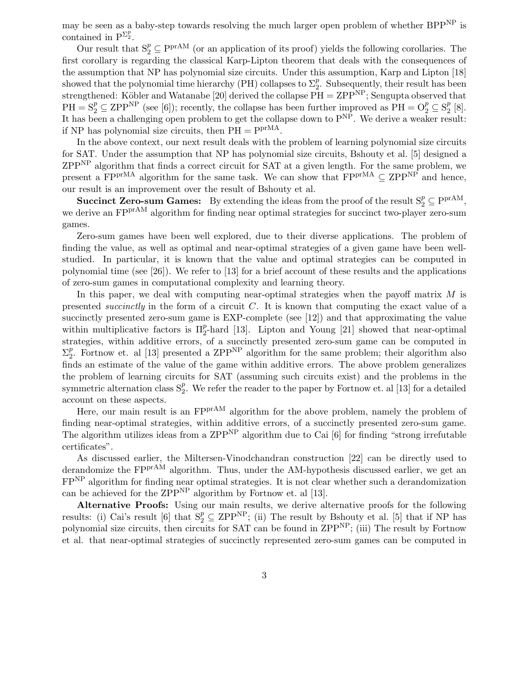may be seen as a baby-step towards resolving the much larger open problem of whether BPP<sup>NP</sup> is contained in  $P^{\Sigma_2^p}$ .

Our result that  $S_2^p \subseteq P^{\text{prAM}}$  (or an application of its proof) yields the following corollaries. The first corollary is regarding the classical Karp-Lipton theorem that deals with the consequences of the assumption that NP has polynomial size circuits. Under this assumption, Karp and Lipton [18] showed that the polynomial time hierarchy (PH) collapses to  $\Sigma_2^p$ <sup>*p*</sup>. Subsequently, their result has been strengthened: Köbler and Watanabe [20] derived the collapse  $\overline{PH} = ZPP^{NP}$ ; Sengupta observed that  $PH = S_2^p \subseteq \text{ZPP}^{\text{NP}}$  (see [6]); recently, the collapse has been further improved as  $\text{PH} = \text{O}_2^p \subseteq \text{S}_2^p$  $_{2}^{p}$  [8]. It has been a challenging open problem to get the collapse down to  $P<sup>NP</sup>$ . We derive a weaker result: if NP has polynomial size circuits, then  $PH = P<sup>prMA</sup>$ .

In the above context, our next result deals with the problem of learning polynomial size circuits for SAT. Under the assumption that NP has polynomial size circuits, Bshouty et al. [5] designed a ZPPNP algorithm that finds a correct circuit for SAT at a given length. For the same problem, we present a FP<sup>prMA</sup> algorithm for the same task. We can show that  $FPP^{\gamma MA} \subseteq ZPP^{\gamma P}$  and hence, our result is an improvement over the result of Bshouty et al.

**Succinct Zero-sum Games:** By extending the ideas from the proof of the result  $S_2^p \subseteq P^{\text{prAM}}$ , we derive an FPP<sup>rAM</sup> algorithm for finding near optimal strategies for succinct two-player zero-sum games.

Zero-sum games have been well explored, due to their diverse applications. The problem of finding the value, as well as optimal and near-optimal strategies of a given game have been wellstudied. In particular, it is known that the value and optimal strategies can be computed in polynomial time (see [26]). We refer to [13] for a brief account of these results and the applications of zero-sum games in computational complexity and learning theory.

In this paper, we deal with computing near-optimal strategies when the payoff matrix  $M$  is presented succinctly in the form of a circuit  $C$ . It is known that computing the exact value of a succinctly presented zero-sum game is EXP-complete (see [12]) and that approximating the value within multiplicative factors is  $\Pi_2^p$ -hard [13]. Lipton and Young [21] showed that near-optimal strategies, within additive errors, of a succinctly presented zero-sum game can be computed in  $\Sigma_2^p$ <sup>p</sup>. Fortnow et. al [13] presented a ZPP<sup>NP</sup> algorithm for the same problem; their algorithm also finds an estimate of the value of the game within additive errors. The above problem generalizes the problem of learning circuits for SAT (assuming such circuits exist) and the problems in the symmetric alternation class  $S_2^p$ . We refer the reader to the paper by Fortnow et. al [13] for a detailed account on these aspects.

Here, our main result is an FP<sup>prAM</sup> algorithm for the above problem, namely the problem of finding near-optimal strategies, within additive errors, of a succinctly presented zero-sum game. The algorithm utilizes ideas from a  $\rm ZPP^{NP}$  algorithm due to Cai [6] for finding "strong irrefutable certificates".

As discussed earlier, the Miltersen-Vinodchandran construction [22] can be directly used to derandomize the FP<sup>prAM</sup> algorithm. Thus, under the AM-hypothesis discussed earlier, we get an FPNP algorithm for finding near optimal strategies. It is not clear whether such a derandomization can be achieved for the  $\text{ZPP}^{\text{NP}}$  algorithm by Fortnow et. al [13].

Alternative Proofs: Using our main results, we derive alternative proofs for the following results: (i) Cai's result [6] that  $S_2^p \subseteq \text{ZPP}^{\text{NP}}$ ; (ii) The result by Bshouty et al. [5] that if NP has polynomial size circuits, then circuits for SAT can be found in ZPPNP; (iii) The result by Fortnow et al. that near-optimal strategies of succinctly represented zero-sum games can be computed in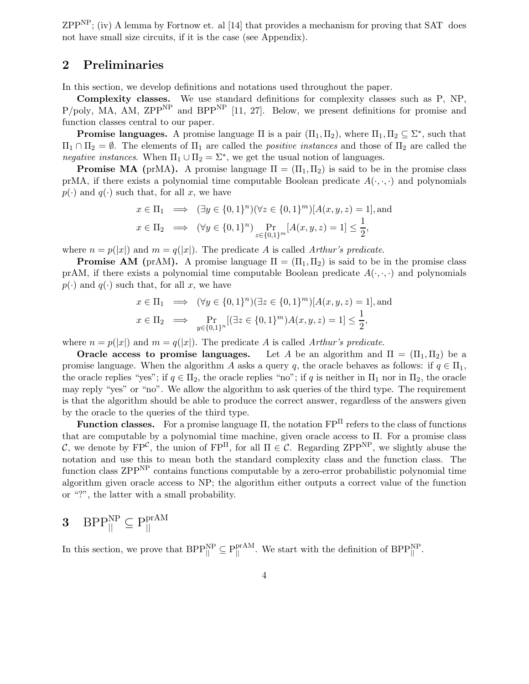$\text{ZPP}^{\text{NP}}$ ; (iv) A lemma by Fortnow et. al [14] that provides a mechanism for proving that SAT does not have small size circuits, if it is the case (see Appendix).

### 2 Preliminaries

In this section, we develop definitions and notations used throughout the paper.

Complexity classes. We use standard definitions for complexity classes such as P, NP,  $P/poly$ , MA, AM, ZPP<sup>NP</sup> and BPP<sup>NP</sup> [11, 27]. Below, we present definitions for promise and function classes central to our paper.

**Promise languages.** A promise language  $\Pi$  is a pair  $(\Pi_1, \Pi_2)$ , where  $\Pi_1, \Pi_2 \subseteq \Sigma^*$ , such that  $\Pi_1 \cap \Pi_2 = \emptyset$ . The elements of  $\Pi_1$  are called the *positive instances* and those of  $\Pi_2$  are called the negative instances. When  $\Pi_1 \cup \Pi_2 = \Sigma^*$ , we get the usual notion of languages.

**Promise MA** (prMA). A promise language  $\Pi = (\Pi_1, \Pi_2)$  is said to be in the promise class prMA, if there exists a polynomial time computable Boolean predicate  $A(\cdot, \cdot)$  and polynomials  $p(\cdot)$  and  $q(\cdot)$  such that, for all x, we have

$$
x \in \Pi_1 \implies (\exists y \in \{0, 1\}^n)(\forall z \in \{0, 1\}^m)[A(x, y, z) = 1],
$$
and  

$$
x \in \Pi_2 \implies (\forall y \in \{0, 1\}^n) \Pr_{z \in \{0, 1\}^m}[A(x, y, z) = 1] \le \frac{1}{2},
$$

where  $n = p(|x|)$  and  $m = q(|x|)$ . The predicate A is called Arthur's predicate.

**Promise AM** (prAM). A promise language  $\Pi = (\Pi_1, \Pi_2)$  is said to be in the promise class prAM, if there exists a polynomial time computable Boolean predicate  $A(\cdot, \cdot)$  and polynomials  $p(\cdot)$  and  $q(\cdot)$  such that, for all x, we have

$$
x \in \Pi_1 \implies (\forall y \in \{0, 1\}^n)(\exists z \in \{0, 1\}^m)[A(x, y, z) = 1],
$$
and  

$$
x \in \Pi_2 \implies \Pr_{y \in \{0, 1\}^n}[(\exists z \in \{0, 1\}^m)A(x, y, z) = 1] \le \frac{1}{2},
$$

where  $n = p(|x|)$  and  $m = q(|x|)$ . The predicate A is called Arthur's predicate.

**Oracle access to promise languages.** Let A be an algorithm and  $\Pi = (\Pi_1, \Pi_2)$  be a promise language. When the algorithm A asks a query q, the oracle behaves as follows: if  $q \in \Pi_1$ , the oracle replies "yes"; if  $q \in \Pi_2$ , the oracle replies "no"; if q is neither in  $\Pi_1$  nor in  $\Pi_2$ , the oracle may reply "yes" or "no". We allow the algorithm to ask queries of the third type. The requirement is that the algorithm should be able to produce the correct answer, regardless of the answers given by the oracle to the queries of the third type.

**Function classes.** For a promise language  $\Pi$ , the notation  $\text{FP}^{\Pi}$  refers to the class of functions that are computable by a polynomial time machine, given oracle access to Π. For a promise class C, we denote by  $\text{FP}^{\mathcal{C}}$ , the union of  $\text{FP}^{\Pi}$ , for all  $\Pi \in \mathcal{C}$ . Regarding  $\text{ZPP}^{\text{NP}}$ , we slightly abuse the notation and use this to mean both the standard complexity class and the function class. The function class ZPPNP contains functions computable by a zero-error probabilistic polynomial time algorithm given oracle access to NP; the algorithm either outputs a correct value of the function or "?", the latter with a small probability.

$$
\mathbf{3}\quad\mathrm{BPP}^{\mathrm{NP}}_{\parallel}\subseteq\mathrm{P}^{\mathrm{prAM}}_{\parallel}
$$

In this section, we prove that  $BPP_{\parallel}^{NP} \subseteq P_{\parallel}^{prAM}$ . We start with the definition of  $BPP_{\parallel}^{NP}$ .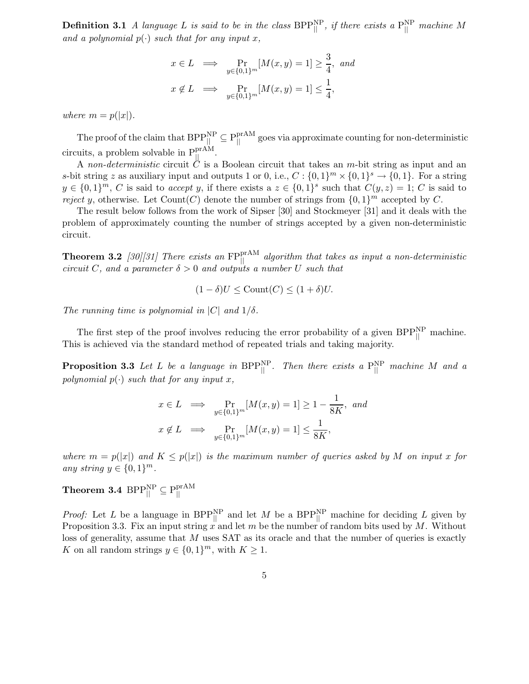**Definition 3.1** A language L is said to be in the class  $BPP_{||}^{\text{NP}}$ , if there exists a  $P_{||}^{\text{NP}}$  machine M and a polynomial  $p(\cdot)$  such that for any input x,

$$
x \in L \implies \Pr_{y \in \{0,1\}^m} [M(x, y) = 1] \ge \frac{3}{4}, \text{ and}
$$

$$
x \notin L \implies \Pr_{y \in \{0,1\}^m} [M(x, y) = 1] \le \frac{1}{4},
$$

where  $m = p(|x|)$ .

The proof of the claim that  $BPP_{||}^{NP} \subseteq P_{||}^{prAM}$  goes via approximate counting for non-deterministic circuits, a problem solvable in  $P_{\parallel}^{\text{prAM}}$ .

A non-deterministic circuit  $\mathcal{C}$  is a Boolean circuit that takes an m-bit string as input and an s-bit string z as auxiliary input and outputs 1 or 0, i.e.,  $C: \{0,1\}^m \times \{0,1\}^s \to \{0,1\}$ . For a string  $y \in \{0,1\}^m$ , C is said to accept y, if there exists a  $z \in \{0,1\}^s$  such that  $C(y, z) = 1$ ; C is said to reject y, otherwise. Let Count(C) denote the number of strings from  $\{0,1\}^m$  accepted by C.

The result below follows from the work of Sipser [30] and Stockmeyer [31] and it deals with the problem of approximately counting the number of strings accepted by a given non-deterministic circuit.

**Theorem 3.2** [30][31] There exists an  $FP_{\parallel}^{prAM}$  algorithm that takes as input a non-deterministic circuit C, and a parameter  $\delta > 0$  and outputs a number U such that

$$
(1 - \delta)U \leq \text{Count}(C) \leq (1 + \delta)U.
$$

The running time is polynomial in  $|C|$  and  $1/\delta$ .

The first step of the proof involves reducing the error probability of a given  $BPP_{\parallel}^{NP}$  machine. This is achieved via the standard method of repeated trials and taking majority.

**Proposition 3.3** Let L be a language in  $BPP_{\parallel}^{NP}$ . Then there exists a  $P_{\parallel}^{NP}$  machine M and a polynomial  $p(\cdot)$  such that for any input x,

$$
x \in L \implies \Pr_{y \in \{0,1\}^m} [M(x, y) = 1] \ge 1 - \frac{1}{8K}, \text{ and}
$$

$$
x \notin L \implies \Pr_{y \in \{0,1\}^m} [M(x, y) = 1] \le \frac{1}{8K},
$$

where  $m = p(|x|)$  and  $K \leq p(|x|)$  is the maximum number of queries asked by M on input x for any string  $y \in \{0,1\}^m$ .

 $\textbf{Theorem 3.4 } \text{ BPP}^{\text{NP}}_{\text{||}} \subseteq \text{P}^{\text{prAM}}_{\text{||}}$ 

*Proof:* Let L be a language in BPP<sup>NP</sup> and let M be a BPP<sup>NP</sup> machine for deciding L given by Proposition 3.3. Fix an input string x and let m be the number of random bits used by M. Without loss of generality, assume that M uses SAT as its oracle and that the number of queries is exactly K on all random strings  $y \in \{0,1\}^m$ , with  $K \geq 1$ .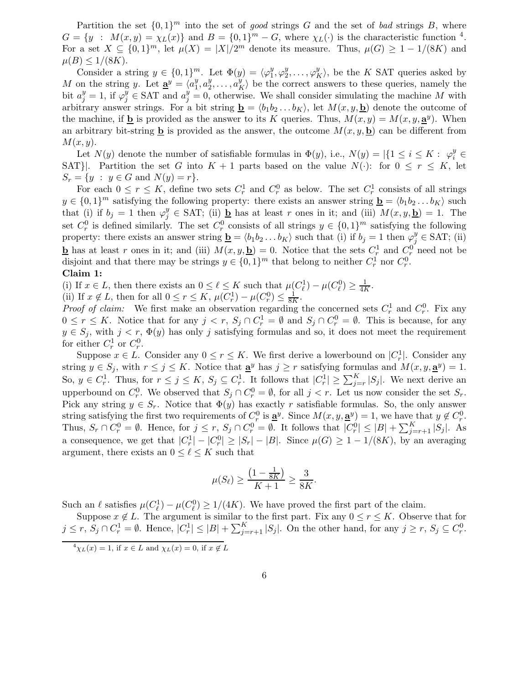Partition the set  $\{0,1\}^m$  into the set of good strings G and the set of bad strings B, where  $G = \{y : M(x,y) = \chi_L(x)\}\$ and  $B = \{0,1\}^m - G$ , where  $\chi_L(\cdot)$  is the characteristic function <sup>4</sup>. For a set  $X \subseteq \{0,1\}^m$ , let  $\mu(X) = |X|/2^m$  denote its measure. Thus,  $\mu(G) \geq 1 - 1/(8K)$  and  $\mu(B) \leq 1/(8K)$ .

Consider a string  $y \in \{0,1\}^m$ . Let  $\Phi(y) = \langle \varphi_1^y \rangle$  $y_1^y, \varphi_2^y$  $\langle y_2^y, \ldots, \varphi_K^y \rangle$ , be the K SAT queries asked by M on the string y. Let  $\underline{\mathbf{a}}^y = \langle a_1^y \rangle$  $\frac{y}{1}, a_2^y$  $\langle u_1^y, \ldots, u_K^y \rangle$  be the correct answers to these queries, namely the bit  $a_j^y = 1$ , if  $\varphi_j^y \in SAT$  and  $a_j^y = 0$ , otherwise. We shall consider simulating the machine M with arbitrary answer strings. For a bit string  $\underline{\mathbf{b}} = \langle b_1b_2 \dots b_K \rangle$ , let  $M(x, y, \underline{\mathbf{b}})$  denote the outcome of the machine, if **b** is provided as the answer to its K queries. Thus,  $M(x, y) = M(x, y, \mathbf{a}^y)$ . When an arbitrary bit-string **b** is provided as the answer, the outcome  $M(x, y, b)$  can be different from  $M(x, y)$ .

Let  $N(y)$  denote the number of satisfiable formulas in  $\Phi(y)$ , i.e.,  $N(y) = |\{1 \le i \le K : \varphi_i^y \in$ SAT}. Partition the set G into  $K + 1$  parts based on the value  $N(\cdot)$ : for  $0 \le r \le K$ , let  $S_r = \{y : y \in G \text{ and } N(y) = r\}.$ 

For each  $0 \le r \le K$ , define two sets  $C_r^1$  and  $C_r^0$  as below. The set  $C_r^1$  consists of all strings  $y \in \{0,1\}^m$  satisfying the following property: there exists an answer string  $\underline{\mathbf{b}} = \langle b_1b_2 \dots b_K \rangle$  such that (i) if  $b_j = 1$  then  $\varphi_j^y \in SAT$ ; (ii)  $\underline{\mathbf{b}}$  has at least r ones in it; and (iii)  $M(x, y, \underline{\mathbf{b}}) = 1$ . The set  $C_r^0$  is defined similarly. The set  $C_r^0$  consists of all strings  $y \in \{0,1\}^m$  satisfying the following property: there exists an answer string  $\underline{\mathbf{b}} = \langle b_1 b_2 ... b_K \rangle$  such that (i) if  $b_j = 1$  then  $\varphi_j^y \in SAT$ ; (ii) **b** has at least r ones in it; and (iii)  $M(x, y, \mathbf{b}) = 0$ . Notice that the sets  $C_r^1$  and  $C_r^0$  need not be disjoint and that there may be strings  $y \in \{0,1\}^m$  that belong to neither  $C_r^1$  nor  $C_r^0$ .

#### Claim 1:

(i) If  $x \in L$ , then there exists an  $0 \leq \ell \leq K$  such that  $\mu(C_{\ell}^1) - \mu(C_{\ell}^0) \geq \frac{1}{4K}$ .

(ii) If  $x \notin L$ , then for all  $0 \le r \le K$ ,  $\mu(C_r^1) - \mu(C_r^0) \le \frac{1}{8K}$ .

*Proof of claim:* We first make an observation regarding the concerned sets  $C_r^1$  and  $C_r^0$ . Fix any  $0 \leq r \leq K$ . Notice that for any  $j < r$ ,  $S_j \cap C_r^1 = \emptyset$  and  $S_j \cap C_r^0 = \emptyset$ . This is because, for any  $y \in S_i$ , with  $j < r$ ,  $\Phi(y)$  has only j satisfying formulas and so, it does not meet the requirement for either  $C_r^1$  or  $C_r^0$ .

Suppose  $x \in L$ . Consider any  $0 \le r \le K$ . We first derive a lowerbound on  $|C_r^1|$ . Consider any string  $y \in S_j$ , with  $r \leq j \leq K$ . Notice that  $\underline{\mathbf{a}}^y$  has  $j \geq r$  satisfying formulas and  $M(x, y, \underline{\mathbf{a}}^y) = 1$ . So,  $y \in C_r^1$ . Thus, for  $r \leq j \leq K$ ,  $S_j \subseteq C_r^1$ . It follows that  $|C_r^1| \geq \sum_{j=r}^K |S_j|$ . We next derive an upperbound on  $C_r^0$ . We observed that  $S_j \cap C_r^0 = \emptyset$ , for all  $j < r$ . Let us now consider the set  $S_r$ . Pick any string  $y \in S_r$ . Notice that  $\Phi(y)$  has exactly r satisfiable formulas. So, the only answer string satisfying the first two requirements of  $C_r^0$  is  $\underline{\mathbf{a}}^y$ . Since  $M(x, y, \underline{\mathbf{a}}^y) = 1$ , we have that  $y \notin C_r^0$ . Thus,  $S_r \cap C_r^0 = \emptyset$ . Hence, for  $j \leq r$ ,  $S_j \cap C_r^0 = \emptyset$ . It follows that  $|C_r^0| \leq |B| + \sum_{j=r+1}^K |S_j|$ . As a consequence, we get that  $|C_r^1| - |C_r^0| \geq |S_r| - |B|$ . Since  $\mu(G) \geq 1 - 1/(8K)$ , by an averaging argument, there exists an  $0 \leq \ell \leq K$  such that

$$
\mu(S_{\ell}) \ge \frac{\left(1 - \frac{1}{8K}\right)}{K+1} \ge \frac{3}{8K}.
$$

Such an  $\ell$  satisfies  $\mu(C_{\ell}^1) - \mu(C_{\ell}^0) \ge 1/(4K)$ . We have proved the first part of the claim.

Suppose  $x \notin L$ . The argument is similar to the first part. Fix any  $0 \le r \le K$ . Observe that for  $j \leq r, S_j \cap C_r^1 = \emptyset$ . Hence,  $|C_r^1| \leq |B| + \sum_{j=r+1}^K |S_j|$ . On the other hand, for any  $j \geq r, S_j \subseteq C_r^0$ .

 $\frac{4}{\gamma_L(x)} = 1$ , if  $x \in L$  and  $\gamma_L(x) = 0$ , if  $x \notin L$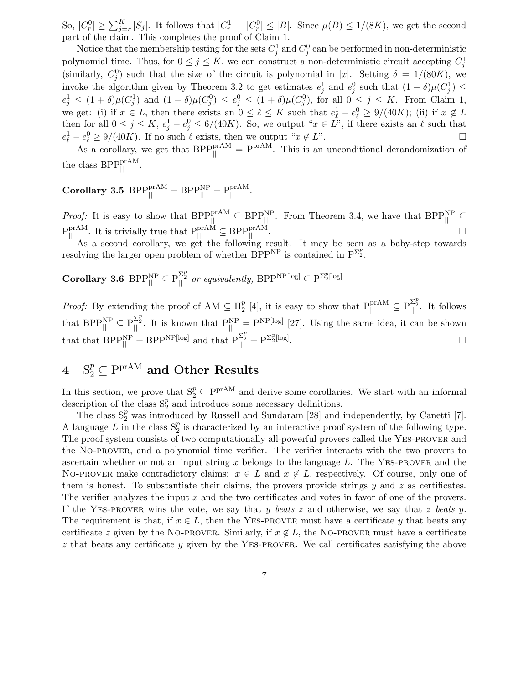So,  $|C_r^0| \geq \sum_{j=r}^K |S_j|$ . It follows that  $|C_r^1| - |C_r^0| \leq |B|$ . Since  $\mu(B) \leq 1/(8K)$ , we get the second part of the claim. This completes the proof of Claim 1.

Notice that the membership testing for the sets  $C_j^1$  and  $C_j^0$  can be performed in non-deterministic polynomial time. Thus, for  $0 \leq j \leq K$ , we can construct a non-deterministic circuit accepting  $C_j^1$ (similarly,  $C_j^0$ ) such that the size of the circuit is polynomial in |x|. Setting  $\delta = 1/(80K)$ , we invoke the algorithm given by Theorem 3.2 to get estimates  $e_j^1$  and  $e_j^0$  such that  $(1 - \delta)\mu(C_j^1) \le$  $e_j^1 \leq (1+\delta)\mu(C_j^1)$  and  $(1-\delta)\mu(C_j^0) \leq e_j^0 \leq (1+\delta)\mu(C_j^0)$ , for all  $0 \leq j \leq K$ . From Claim 1, we get: (i) if  $x \in L$ , then there exists an  $0 \leq \ell \leq K$  such that  $e_{\ell}^1 - e_{\ell}^0 \geq 9/(40K)$ ; (ii) if  $x \notin L$ then for all  $0 \le j \le K$ ,  $e_j^1 - e_j^0 \le 6/(40K)$ . So, we output " $x \in L$ ", if there exists an  $\ell$  such that  $e_{\ell}^1 - e_{\ell}^0 \geq 9/(40K)$ . If no such  $\ell$  exists, then we output " $x \notin L$ ".

As a corollary, we get that  $BPP_{\parallel}^{\text{prAM}} = P_{\parallel}^{\text{prAM}}$ . This is an unconditional derandomization of the class  $BPP_{\parallel}^{\text{prAM}}$ .

 $\textbf{Corollary 3.5 } B \text{PPP}_{\text{||}}^{\text{prAM}} = B \text{PPP}_{\text{||}}^{\text{NP}} = \text{P}_{\text{||}}^{\text{prAM}}.$ 

*Proof:* It is easy to show that  $BPP_{\parallel}^{prAM} \subseteq BPP_{\parallel}^{NP}$ . From Theorem 3.4, we have that  $BPP_{\parallel}^{NP} \subseteq$  $P_{\parallel}^{\text{prAM}}$ . It is trivially true that  $P_{\parallel}^{\text{prAM}} \subseteq BPP_{\parallel}^{\text{prAM}}$ .

As a second corollary, we get the following result. It may be seen as a baby-step towards resolving the larger open problem of whether  $BPP^{NP}$  is contained in  $P^{\Sigma_2^p}$ .

 $\textbf{Corollary 3.6 } BPP_{||}^{\text{NP}} \subseteq P_{||}^{\Sigma_{Z}^{p}} \text{ or equivalently, } BPP^{\text{NP}[\text{log}]} \subseteq P^{\Sigma_{Z}^{p}[\text{log}]}$ 

*Proof:* By extending the proof of  $AM \subseteq \Pi_2^p$  $P_2^p$  [4], it is easy to show that  $P_{||}^{prAM} \subseteq P_{||}^{\Sigma_2^p}$ . It follows that  $BPP_{\parallel}^{\text{NP}} \subseteq P_{\parallel}^{\Sigma_2^p}$ . It is known that  $P_{\parallel}^{\text{NP}} = P^{\text{NP}[\text{log}]}$  [27]. Using the same idea, it can be shown that that  $BPP_{||}^{\text{NP}} = BPP_{1}^{\text{NP}}$  and that  $P_{||}^{\Sigma_{2}^{p}} = P_{2}^{\Sigma_{2}^{p}}$ [log] .

# $4\quad \mathrm{S}_2^p \subseteq \mathrm{P^{prAM}} \ \textbf{and Other Results}$

In this section, we prove that  $S_2^p \subseteq P^{prAM}$  and derive some corollaries. We start with an informal description of the class  $S_2^p$  and introduce some necessary definitions.

The class  $S_2^p$  was introduced by Russell and Sundaram [28] and independently, by Canetti [7]. A language  $L$  in the class  $S_2^p$  is characterized by an interactive proof system of the following type. The proof system consists of two computationally all-powerful provers called the Yes-prover and the No-prover, and a polynomial time verifier. The verifier interacts with the two provers to ascertain whether or not an input string x belongs to the language L. The YES-PROVER and the NO-PROVER make contradictory claims:  $x \in L$  and  $x \notin L$ , respectively. Of course, only one of them is honest. To substantiate their claims, the provers provide strings  $y$  and  $z$  as certificates. The verifier analyzes the input x and the two certificates and votes in favor of one of the provers. If the YES-PROVER wins the vote, we say that y beats z and otherwise, we say that z beats y. The requirement is that, if  $x \in L$ , then the YES-PROVER must have a certificate y that beats any certificate z given by the NO-PROVER. Similarly, if  $x \notin L$ , the NO-PROVER must have a certificate z that beats any certificate y given by the YES-PROVER. We call certificates satisfying the above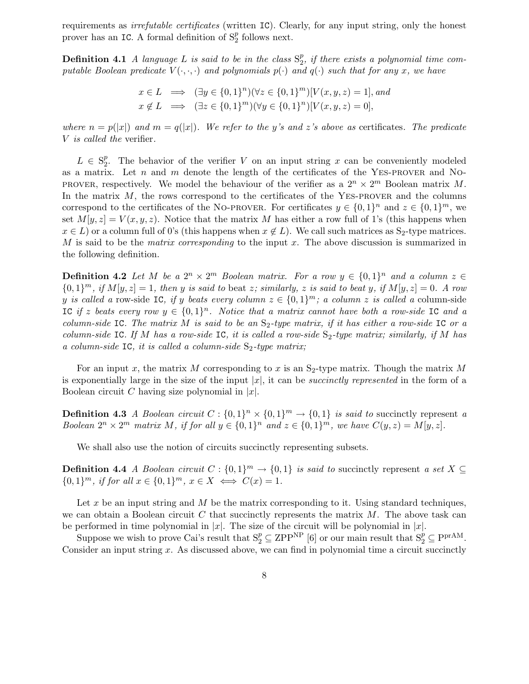requirements as irrefutable certificates (written IC). Clearly, for any input string, only the honest prover has an IC. A formal definition of  $S_2^p$  follows next.

**Definition 4.1** A language L is said to be in the class  $S_2^p$  $_2^p$ , if there exists a polynomial time computable Boolean predicate  $V(\cdot,\cdot,\cdot)$  and polynomials  $p(\cdot)$  and  $q(\cdot)$  such that for any x, we have

$$
x \in L \implies (\exists y \in \{0, 1\}^n)(\forall z \in \{0, 1\}^m)[V(x, y, z) = 1], and
$$
  

$$
x \notin L \implies (\exists z \in \{0, 1\}^m)(\forall y \in \{0, 1\}^n)[V(x, y, z) = 0],
$$

where  $n = p(|x|)$  and  $m = q(|x|)$ . We refer to the y's and z's above as certificates. The predicate V is called the verifier.

 $L \in S_2^p$ <sup>*p*</sup>. The behavior of the verifier V on an input string x can be conveniently modeled as a matrix. Let  $n$  and  $m$  denote the length of the certificates of the YES-PROVER and NO-PROVER, respectively. We model the behaviour of the verifier as a  $2^n \times 2^m$  Boolean matrix M. In the matrix  $M$ , the rows correspond to the certificates of the YES-PROVER and the columns correspond to the certificates of the NO-PROVER. For certificates  $y \in \{0,1\}^n$  and  $z \in \{0,1\}^m$ , we set  $M[y, z] = V(x, y, z)$ . Notice that the matrix M has either a row full of 1's (this happens when  $x \in L$ ) or a column full of 0's (this happens when  $x \notin L$ ). We call such matrices as S<sub>2</sub>-type matrices. M is said to be the matrix corresponding to the input  $x$ . The above discussion is summarized in the following definition.

**Definition 4.2** Let M be a  $2^n \times 2^m$  Boolean matrix. For a row  $y \in \{0,1\}^n$  and a column  $z \in$  ${0,1}^m$ , if  $M[y, z] = 1$ , then y is said to beat z; similarly, z is said to beat y, if  $M[y, z] = 0$ . A row y is called a row-side IC, if y beats every column  $z \in \{0,1\}^m$ ; a column z is called a column-side IC if z beats every row  $y \in \{0,1\}^n$ . Notice that a matrix cannot have both a row-side IC and a column-side IC. The matrix M is said to be an  $S_2$ -type matrix, if it has either a row-side IC or a column-side IC. If M has a row-side IC, it is called a row-side  $S_2$ -type matrix; similarly, if M has a column-side IC, it is called a column-side  $S_2$ -type matrix;

For an input x, the matrix M corresponding to x is an  $S_2$ -type matrix. Though the matrix M is exponentially large in the size of the input  $|x|$ , it can be *succinctly represented* in the form of a Boolean circuit C having size polynomial in  $|x|$ .

**Definition 4.3** A Boolean circuit  $C: \{0,1\}^n \times \{0,1\}^m \rightarrow \{0,1\}$  is said to succinctly represent a Boolean  $2^n \times 2^m$  matrix M, if for all  $y \in \{0,1\}^n$  and  $z \in \{0,1\}^m$ , we have  $C(y, z) = M[y, z]$ .

We shall also use the notion of circuits succinctly representing subsets.

**Definition 4.4** A Boolean circuit  $C: \{0,1\}^m \to \{0,1\}$  is said to succinctly represent a set  $X \subseteq$  ${0,1}^m$ , if for all  $x \in {0,1}^m$ ,  $x \in X \iff C(x) = 1$ .

Let x be an input string and M be the matrix corresponding to it. Using standard techniques, we can obtain a Boolean circuit C that succinctly represents the matrix  $M$ . The above task can be performed in time polynomial in  $|x|$ . The size of the circuit will be polynomial in  $|x|$ .

Suppose we wish to prove Cai's result that  $S_2^p \subseteq \mathrm{ZPP}^{\mathrm{NP}}$  [6] or our main result that  $S_2^p \subseteq \mathrm{P}^{\mathrm{prAM}}$ . Consider an input string  $x$ . As discussed above, we can find in polynomial time a circuit succinctly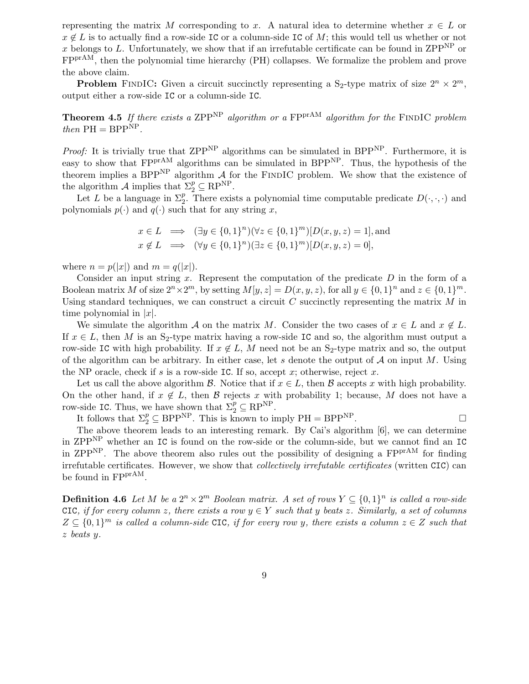representing the matrix M corresponding to x. A natural idea to determine whether  $x \in L$  or  $x \notin L$  is to actually find a row-side IC or a column-side IC of M; this would tell us whether or not x belongs to L. Unfortunately, we show that if an irrefutable certificate can be found in ZPP<sup>NP</sup> or FPprAM, then the polynomial time hierarchy (PH) collapses. We formalize the problem and prove the above claim.

**Problem** FINDIC: Given a circuit succinctly representing a S<sub>2</sub>-type matrix of size  $2^n \times 2^m$ , output either a row-side IC or a column-side IC.

**Theorem 4.5** If there exists a ZPP<sup>NP</sup> algorithm or a FP<sup>prAM</sup> algorithm for the FINDIC problem then  $PH = BPP<sup>NP</sup>$ .

*Proof:* It is trivially true that  $\text{ZPP}^{\text{NP}}$  algorithms can be simulated in  $\text{BPP}^{\text{NP}}$ . Furthermore, it is easy to show that  $FPT^{AM}$  algorithms can be simulated in BPP<sup>NP</sup>. Thus, the hypothesis of the theorem implies a BPP<sup>NP</sup> algorithm  $A$  for the FINDIC problem. We show that the existence of the algorithm  $\mathcal A$  implies that  $\Sigma_2^p \subseteq \mathrm{RP}^{\mathrm{NP}}$ .

Let L be a language in  $\Sigma_2^p$ . There exists a polynomial time computable predicate  $D(\cdot,\cdot,\cdot)$  and polynomials  $p(\cdot)$  and  $q(\cdot)$  such that for any string x,

$$
x \in L \implies (\exists y \in \{0, 1\}^n)(\forall z \in \{0, 1\}^m)[D(x, y, z) = 1],
$$
 and  
\n $x \notin L \implies (\forall y \in \{0, 1\}^n)(\exists z \in \{0, 1\}^m)[D(x, y, z) = 0],$ 

where  $n = p(|x|)$  and  $m = q(|x|)$ .

Consider an input string x. Represent the computation of the predicate  $D$  in the form of a Boolean matrix M of size  $2^n \times 2^m$ , by setting  $M[y, z] = D(x, y, z)$ , for all  $y \in \{0, 1\}^n$  and  $z \in \{0, 1\}^m$ . Using standard techniques, we can construct a circuit  $C$  succinctly representing the matrix  $M$  in time polynomial in  $|x|$ .

We simulate the algorithm A on the matrix M. Consider the two cases of  $x \in L$  and  $x \notin L$ . If  $x \in L$ , then M is an S<sub>2</sub>-type matrix having a row-side IC and so, the algorithm must output a row-side IC with high probability. If  $x \notin L$ , M need not be an S<sub>2</sub>-type matrix and so, the output of the algorithm can be arbitrary. In either case, let s denote the output of  $A$  on input  $M$ . Using the NP oracle, check if s is a row-side IC. If so, accept x; otherwise, reject x.

Let us call the above algorithm B. Notice that if  $x \in L$ , then B accepts x with high probability. On the other hand, if  $x \notin L$ , then B rejects x with probability 1; because, M does not have a row-side IC. Thus, we have shown that  $\Sigma_2^p \subseteq \mathrm{RP}^{\mathrm{NP}}$ .

It follows that  $\Sigma_2^p \subseteq \text{BPP}^{\text{NP}}$ . This is known to imply  $\text{PH} = \text{BPP}^{\text{NP}}$ .

The above theorem leads to an interesting remark. By Cai's algorithm [6], we can determine in ZPPNP whether an IC is found on the row-side or the column-side, but we cannot find an IC in ZPP<sup>NP</sup>. The above theorem also rules out the possibility of designing a FP<sup>prAM</sup> for finding irrefutable certificates. However, we show that collectively irrefutable certificates (written CIC) can be found in FPP<sup>rAM</sup>.

**Definition 4.6** Let M be a  $2^n \times 2^m$  Boolean matrix. A set of rows  $Y \subseteq \{0,1\}^n$  is called a row-side CIC, if for every column z, there exists a row  $y \in Y$  such that y beats z. Similarly, a set of columns  $Z \subseteq \{0,1\}^m$  is called a column-side CIC, if for every row y, there exists a column  $z \in Z$  such that z beats y.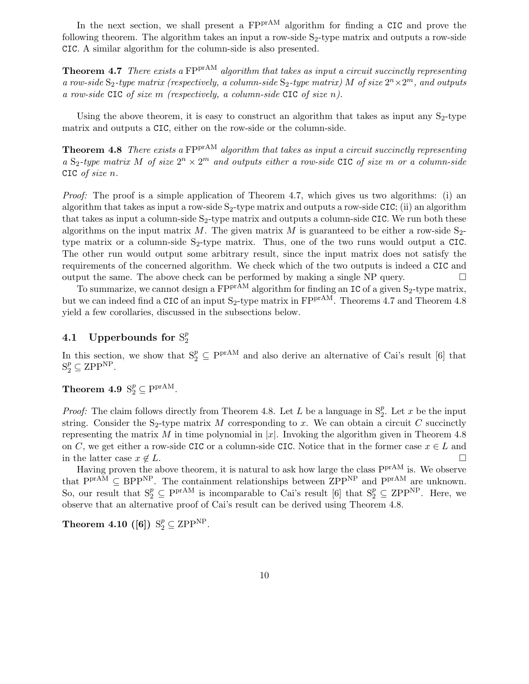In the next section, we shall present a  $FPT^{A}$  algorithm for finding a CIC and prove the following theorem. The algorithm takes an input a row-side  $S_2$ -type matrix and outputs a row-side CIC. A similar algorithm for the column-side is also presented.

Theorem 4.7 There exists a FPP<sup>rAM</sup> algorithm that takes as input a circuit succinctly representing a row-side  $S_2$ -type matrix (respectively, a column-side  $S_2$ -type matrix) M of size  $2^n \times 2^m$ , and outputs a row-side CIC of size m (respectively, a column-side CIC of size  $n$ ).

Using the above theorem, it is easy to construct an algorithm that takes as input any  $S_2$ -type matrix and outputs a CIC, either on the row-side or the column-side.

**Theorem 4.8** There exists a  $FPP^{rAM}$  algorithm that takes as input a circuit succinctly representing a S<sub>2</sub>-type matrix M of size  $2^n \times 2^m$  and outputs either a row-side CIC of size m or a column-side CIC of size n.

Proof: The proof is a simple application of Theorem 4.7, which gives us two algorithms: (i) an algorithm that takes as input a row-side  $S_2$ -type matrix and outputs a row-side CIC; (ii) an algorithm that takes as input a column-side  $S_2$ -type matrix and outputs a column-side CIC. We run both these algorithms on the input matrix M. The given matrix M is guaranteed to be either a row-side  $S_{2}$ type matrix or a column-side  $S_2$ -type matrix. Thus, one of the two runs would output a CIC. The other run would output some arbitrary result, since the input matrix does not satisfy the requirements of the concerned algorithm. We check which of the two outputs is indeed a CIC and output the same. The above check can be performed by making a single NP query.  $\Box$ 

To summarize, we cannot design a  $FPT^{A}$  algorithm for finding an IC of a given  $S_2$ -type matrix, but we can indeed find a CIC of an input  $S_2$ -type matrix in FPP<sup>rAM</sup>. Theorems 4.7 and Theorem 4.8 yield a few corollaries, discussed in the subsections below.

#### 4.1 Upperbounds for  $\mathrm{S}_2^p$ 2

In this section, we show that  $S_2^p \subseteq P^{prAM}$  and also derive an alternative of Cai's result [6] that  $S_2^p \subseteq \mathrm{ZPP}^{\mathrm{NP}}$ .

# Theorem 4.9  $S_2^p \subseteq P^{prAM}$ .

*Proof:* The claim follows directly from Theorem 4.8. Let L be a language in  $S_2^p$ . Let x be the input string. Consider the S<sub>2</sub>-type matrix M corresponding to x. We can obtain a circuit C succinctly representing the matrix M in time polynomial in  $|x|$ . Invoking the algorithm given in Theorem 4.8 on C, we get either a row-side CIC or a column-side CIC. Notice that in the former case  $x \in L$  and in the latter case  $x \notin L$ .

Having proven the above theorem, it is natural to ask how large the class  $P<sup>prAM</sup>$  is. We observe that  $P^{\text{prAM}} \subseteq BPP^{\text{NP}}$ . The containment relationships between  $ZPP^{\text{NP}}$  and  $P^{\text{prAM}}$  are unknown. So, our result that  $S_2^p \subseteq P^{prAM}$  is incomparable to Cai's result [6] that  $S_2^p \subseteq ZPP^{NP}$ . Here, we observe that an alternative proof of Cai's result can be derived using Theorem 4.8.

Theorem 4.10 ([6])  $\mathrm{S}_2^p \subseteq \mathrm{ZPP^{NP}}$ .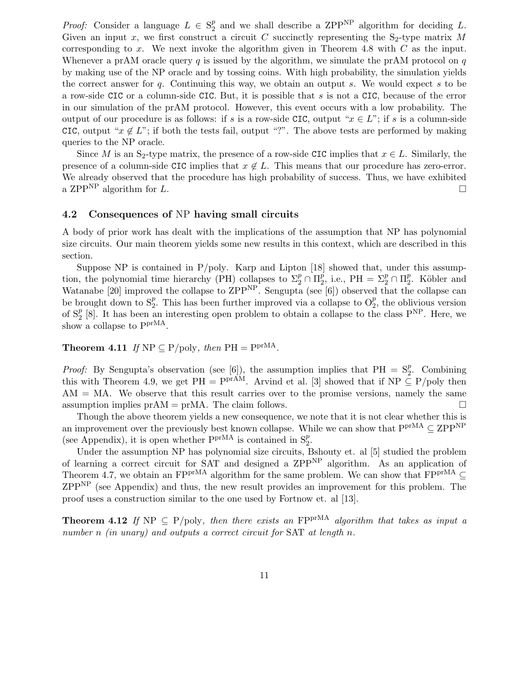*Proof:* Consider a language  $L \in S_2^p$  $_2^p$  and we shall describe a ZPP<sup>NP</sup> algorithm for deciding L. Given an input x, we first construct a circuit C succinctly representing the  $S_2$ -type matrix M corresponding to x. We next invoke the algorithm given in Theorem 4.8 with  $C$  as the input. Whenever a prAM oracle query q is issued by the algorithm, we simulate the prAM protocol on  $q$ by making use of the NP oracle and by tossing coins. With high probability, the simulation yields the correct answer for q. Continuing this way, we obtain an output s. We would expect s to be a row-side CIC or a column-side CIC. But, it is possible that s is not a CIC, because of the error in our simulation of the prAM protocol. However, this event occurs with a low probability. The output of our procedure is as follows: if s is a row-side CIC, output " $x \in L$ "; if s is a column-side CIC, output " $x \notin L$ "; if both the tests fail, output "?". The above tests are performed by making queries to the NP oracle.

Since M is an S<sub>2</sub>-type matrix, the presence of a row-side CIC implies that  $x \in L$ . Similarly, the presence of a column-side CIC implies that  $x \notin L$ . This means that our procedure has zero-error. We already observed that the procedure has high probability of success. Thus, we have exhibited a ZPP<sup>NP</sup> algorithm for L.

#### 4.2 Consequences of NP having small circuits

A body of prior work has dealt with the implications of the assumption that NP has polynomial size circuits. Our main theorem yields some new results in this context, which are described in this section.

Suppose NP is contained in  $P/poly$ . Karp and Lipton [18] showed that, under this assumption, the polynomial time hierarchy (PH) collapses to  $\Sigma_2^p \cap \Pi_2^p$  $\frac{p}{2}$ , i.e., PH =  $\Sigma_2^p \cap \Pi_2^p$  $_{2}^{p}$ . Köbler and Watanabe [20] improved the collapse to  $\text{ZPP}^{\text{NP}}$ . Sengupta (see [6]) observed that the collapse can be brought down to  $S_2^p$ . This has been further improved via a collapse to  $O_2^p$ , the oblivious version of  $S_2^p$  [8]. It has been an interesting open problem to obtain a collapse to the class  $P^{NP}$ . Here, we show a collapse to  $P<sup>prMA</sup>$ .

**Theorem 4.11** If  $NP \subseteq P/\text{poly}$ , then  $PH = P^{\text{prMA}}$ .

*Proof:* By Sengupta's observation (see [6]), the assumption implies that  $PH = S_2^p$ . Combining this with Theorem 4.9, we get PH =  $P^{\text{prAM}}$ . Arvind et al. [3] showed that if NP  $\subseteq$  P/poly then  $AM = MA$ . We observe that this result carries over to the promise versions, namely the same assumption implies  $prAM = prMA$ . The claim follows.

Though the above theorem yields a new consequence, we note that it is not clear whether this is an improvement over the previously best known collapse. While we can show that  $P^{\text{prMA}} \subseteq \mathrm{ZPP}^{\mathrm{NP}}$ (see Appendix), it is open whether  $Ppr^{MA}$  is contained in  $S_2^p$ .

Under the assumption NP has polynomial size circuits, Bshouty et. al [5] studied the problem of learning a correct circuit for SAT and designed a  $\text{ZPP}^{\text{NP}}$  algorithm. As an application of Theorem 4.7, we obtain an FPP<sup>rMA</sup> algorithm for the same problem. We can show that FP<sup>prMA</sup> ⊆  $ZPP<sup>NP</sup>$  (see Appendix) and thus, the new result provides an improvement for this problem. The proof uses a construction similar to the one used by Fortnow et. al [13].

**Theorem 4.12** If NP  $\subseteq$  P/poly, then there exists an FP<sup>prMA</sup> algorithm that takes as input a number n (in unary) and outputs a correct circuit for SAT at length n.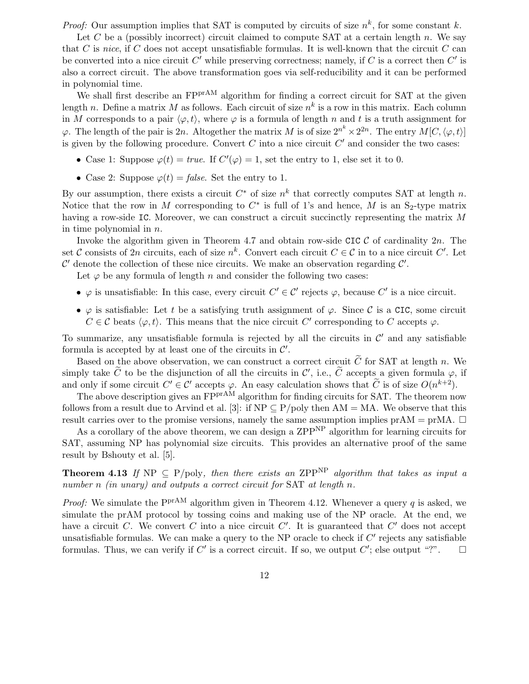*Proof:* Our assumption implies that SAT is computed by circuits of size  $n^k$ , for some constant k.

Let C be a (possibly incorrect) circuit claimed to compute SAT at a certain length n. We say that C is nice, if C does not accept unsatisfiable formulas. It is well-known that the circuit C can be converted into a nice circuit  $C'$  while preserving correctness; namely, if  $C$  is a correct then  $C'$  is also a correct circuit. The above transformation goes via self-reducibility and it can be performed in polynomial time.

We shall first describe an FP<sup>prAM</sup> algorithm for finding a correct circuit for SAT at the given length n. Define a matrix M as follows. Each circuit of size  $n^k$  is a row in this matrix. Each column in M corresponds to a pair  $\langle \varphi, t \rangle$ , where  $\varphi$  is a formula of length n and t is a truth assignment for  $\varphi$ . The length of the pair is 2n. Altogether the matrix M is of size  $2^{n^k} \times 2^{2n}$ . The entry  $M[C,\langle \varphi,t \rangle]$ is given by the following procedure. Convert  $C$  into a nice circuit  $C'$  and consider the two cases:

- Case 1: Suppose  $\varphi(t) = true$ . If  $C'(\varphi) = 1$ , set the entry to 1, else set it to 0.
- Case 2: Suppose  $\varphi(t) = \text{false}$ . Set the entry to 1.

By our assumption, there exists a circuit  $C^*$  of size  $n^k$  that correctly computes SAT at length n. Notice that the row in M corresponding to  $C^*$  is full of 1's and hence, M is an  $S_2$ -type matrix having a row-side IC. Moreover, we can construct a circuit succinctly representing the matrix M in time polynomial in  $n$ .

Invoke the algorithm given in Theorem 4.7 and obtain row-side CIC  $\mathcal{C}$  of cardinality  $2n$ . The set C consists of 2n circuits, each of size  $n^k$ . Convert each circuit  $C \in \mathcal{C}$  in to a nice circuit  $C'$ . Let  $\mathcal{C}'$  denote the collection of these nice circuits. We make an observation regarding  $\mathcal{C}'$ .

Let  $\varphi$  be any formula of length n and consider the following two cases:

- $\varphi$  is unsatisfiable: In this case, every circuit  $C' \in \mathcal{C}'$  rejects  $\varphi$ , because  $C'$  is a nice circuit.
- $\varphi$  is satisfiable: Let t be a satisfying truth assignment of  $\varphi$ . Since C is a CIC, some circuit  $C \in \mathcal{C}$  beats  $\langle \varphi, t \rangle$ . This means that the nice circuit C' corresponding to C accepts  $\varphi$ .

To summarize, any unsatisfiable formula is rejected by all the circuits in  $\mathcal{C}'$  and any satisfiable formula is accepted by at least one of the circuits in  $\mathcal{C}'$ .

Based on the above observation, we can construct a correct circuit  $\tilde{C}$  for SAT at length n. We simply take  $\tilde{C}$  to be the disjunction of all the circuits in  $\mathcal{C}'$ , i.e.,  $\tilde{C}$  accepts a given formula  $\varphi$ , if and only if some circuit  $C' \in \mathcal{C}'$  accepts  $\varphi$ . An easy calculation shows that  $\tilde{C}$  is of size  $O(n^{k+2})$ .

The above description gives an FP<sup>prAM</sup> algorithm for finding circuits for SAT. The theorem now follows from a result due to Arvind et al. [3]: if  $NP \subseteq P/poly$  then  $AM = MA$ . We observe that this result carries over to the promise versions, namely the same assumption implies  $prAM = prMA$ .  $\Box$ 

As a corollary of the above theorem, we can design a ZPP<sup>NP</sup> algorithm for learning circuits for SAT, assuming NP has polynomial size circuits. This provides an alternative proof of the same result by Bshouty et al. [5].

**Theorem 4.13** If NP  $\subseteq$  P/poly, then there exists an ZPP<sup>NP</sup> algorithm that takes as input a number n (in unary) and outputs a correct circuit for SAT at length n.

*Proof:* We simulate the P<sup>prAM</sup> algorithm given in Theorem 4.12. Whenever a query q is asked, we simulate the prAM protocol by tossing coins and making use of the NP oracle. At the end, we have a circuit C. We convert C into a nice circuit C'. It is guaranteed that C' does not accept unsatisfiable formulas. We can make a query to the NP oracle to check if  $C'$  rejects any satisfiable formulas. Thus, we can verify if C' is a correct circuit. If so, we output C'; else output "?".  $\square$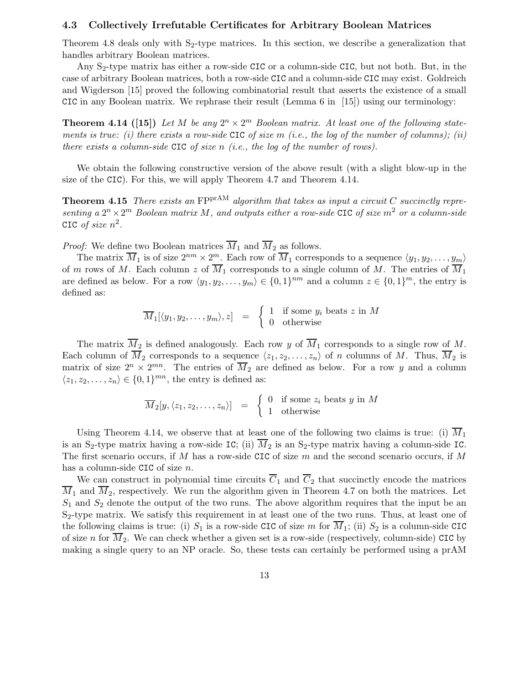#### 4.3 Collectively Irrefutable Certificates for Arbitrary Boolean Matrices

Theorem 4.8 deals only with  $S_2$ -type matrices. In this section, we describe a generalization that handles arbitrary Boolean matrices.

Any S<sub>2</sub>-type matrix has either a row-side CIC or a column-side CIC, but not both. But, in the case of arbitrary Boolean matrices, both a row-side CIC and a column-side CIC may exist. Goldreich and Wigderson [15] proved the following combinatorial result that asserts the existence of a small CIC in any Boolean matrix. We rephrase their result (Lemma 6 in [15]) using our terminology:

**Theorem 4.14 ([15])** Let M be any  $2^n \times 2^m$  Boolean matrix. At least one of the following statements is true: (i) there exists a row-side CIC of size m (i.e., the log of the number of columns); (ii) there exists a column-side CIC of size  $n$  (i.e., the log of the number of rows).

We obtain the following constructive version of the above result (with a slight blow-up in the size of the CIC). For this, we will apply Theorem 4.7 and Theorem 4.14.

**Theorem 4.15** There exists an  $FPTAM$  algorithm that takes as input a circuit C succinctly representing a  $2^{n} \times 2^{m}$  Boolean matrix M, and outputs either a row-side CIC of size  $m^{2}$  or a column-side CIC of size  $n^2$ .

*Proof:* We define two Boolean matrices  $\overline{M}_1$  and  $\overline{M}_2$  as follows.

The matrix  $\overline{M}_1$  is of size  $2^{nm} \times 2^m$ . Each row of  $\overline{M}_1$  corresponds to a sequence  $\langle y_1, y_2, \ldots, y_m \rangle$ of m rows of M. Each column z of  $\overline{M}_1$  corresponds to a single column of M. The entries of  $\overline{M}_1$ are defined as below. For a row  $\langle y_1, y_2, \ldots, y_m \rangle \in \{0, 1\}^{nm}$  and a column  $z \in \{0, 1\}^m$ , the entry is defined as:

$$
\overline{M}_1[\langle y_1, y_2, \dots, y_m \rangle, z] = \begin{cases} 1 & \text{if some } y_i \text{ beats } z \text{ in } M \\ 0 & \text{otherwise} \end{cases}
$$

The matrix  $\overline{M}_2$  is defined analogously. Each row y of  $\overline{M}_1$  corresponds to a single row of M. Each column of  $\overline{M}_2$  corresponds to a sequence  $\langle z_1, z_2, \ldots, z_n \rangle$  of n columns of M. Thus,  $\overline{M}_2$  is matrix of size  $2^n \times 2^{mn}$ . The entries of  $\overline{M}_2$  are defined as below. For a row y and a column  $\langle z_1, z_2, \ldots, z_n \rangle \in \{0, 1\}^{mn}$ , the entry is defined as:

$$
\overline{M}_2[y, \langle z_1, z_2, \dots, z_n \rangle] = \begin{cases} 0 & \text{if some } z_i \text{ beats } y \text{ in } M \\ 1 & \text{otherwise} \end{cases}
$$

Using Theorem 4.14, we observe that at least one of the following two claims is true: (i)  $\overline{M}_1$ is an S<sub>2</sub>-type matrix having a row-side IC; (ii)  $\overline{M}_2$  is an S<sub>2</sub>-type matrix having a column-side IC. The first scenario occurs, if M has a row-side CIC of size  $m$  and the second scenario occurs, if M has a column-side CIC of size n.

We can construct in polynomial time circuits  $\overline{C}_1$  and  $\overline{C}_2$  that succinctly encode the matrices  $\overline{M}_1$  and  $\overline{M}_2$ , respectively. We run the algorithm given in Theorem 4.7 on both the matrices. Let  $S_1$  and  $S_2$  denote the output of the two runs. The above algorithm requires that the input be an  $S<sub>2</sub>$ -type matrix. We satisfy this requirement in at least one of the two runs. Thus, at least one of the following claims is true: (i)  $S_1$  is a row-side CIC of size m for  $\overline{M}_1$ ; (ii)  $S_2$  is a column-side CIC of size n for  $\overline{M}_2$ . We can check whether a given set is a row-side (respectively, column-side) CIC by making a single query to an NP oracle. So, these tests can certainly be performed using a prAM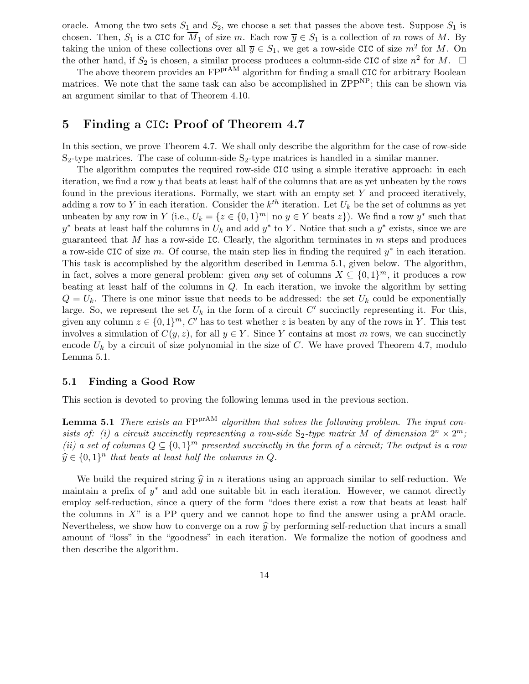oracle. Among the two sets  $S_1$  and  $S_2$ , we choose a set that passes the above test. Suppose  $S_1$  is chosen. Then,  $S_1$  is a CIC for  $\overline{M}_1$  of size m. Each row  $\overline{y} \in S_1$  is a collection of m rows of M. By taking the union of these collections over all  $\overline{y} \in S_1$ , we get a row-side CIC of size  $m^2$  for M. On the other hand, if  $S_2$  is chosen, a similar process produces a column-side CIC of size  $n^2$  for M.  $\Box$ 

The above theorem provides an FPP<sup>rAM</sup> algorithm for finding a small CIC for arbitrary Boolean matrices. We note that the same task can also be accomplished in ZPP<sup>NP</sup>; this can be shown via an argument similar to that of Theorem 4.10.

### 5 Finding a CIC: Proof of Theorem 4.7

In this section, we prove Theorem 4.7. We shall only describe the algorithm for the case of row-side  $S_2$ -type matrices. The case of column-side  $S_2$ -type matrices is handled in a similar manner.

The algorithm computes the required row-side CIC using a simple iterative approach: in each iteration, we find a row  $y$  that beats at least half of the columns that are as yet unbeaten by the rows found in the previous iterations. Formally, we start with an empty set  $Y$  and proceed iteratively, adding a row to Y in each iteration. Consider the  $k^{th}$  iteration. Let  $U_k$  be the set of columns as yet unbeaten by any row in Y (i.e.,  $U_k = \{z \in \{0,1\}^m | \text{ no } y \in Y \text{ beats } z\}$ ). We find a row  $y^*$  such that  $y^*$  beats at least half the columns in  $U_k$  and add  $y^*$  to Y. Notice that such a  $y^*$  exists, since we are guaranteed that M has a row-side IC. Clearly, the algorithm terminates in  $m$  steps and produces a row-side CIC of size m. Of course, the main step lies in finding the required  $y^*$  in each iteration. This task is accomplished by the algorithm described in Lemma 5.1, given below. The algorithm, in fact, solves a more general problem: given any set of columns  $X \subseteq \{0,1\}^m$ , it produces a row beating at least half of the columns in  $Q$ . In each iteration, we invoke the algorithm by setting  $Q = U_k$ . There is one minor issue that needs to be addressed: the set  $U_k$  could be exponentially large. So, we represent the set  $U_k$  in the form of a circuit  $C'$  succinctly representing it. For this, given any column  $z \in \{0,1\}^m$ , C' has to test whether z is beaten by any of the rows in Y. This test involves a simulation of  $C(y, z)$ , for all  $y \in Y$ . Since Y contains at most m rows, we can succinctly encode  $U_k$  by a circuit of size polynomial in the size of C. We have proved Theorem 4.7, modulo Lemma 5.1.

#### 5.1 Finding a Good Row

This section is devoted to proving the following lemma used in the previous section.

**Lemma 5.1** There exists an  $FPTAM$  algorithm that solves the following problem. The input consists of: (i) a circuit succinctly representing a row-side  $S_2$ -type matrix M of dimension  $2^n \times 2^m$ ; (ii) a set of columns  $Q \subseteq \{0,1\}^m$  presented succinctly in the form of a circuit; The output is a row  $\widehat{y} \in \{0, 1\}^n$  that beats at least half the columns in Q.

We build the required string  $\hat{y}$  in n iterations using an approach similar to self-reduction. We maintain a prefix of  $y^*$  and add one suitable bit in each iteration. However, we cannot directly employ self-reduction, since a query of the form "does there exist a row that beats at least half the columns in  $X^{\prime\prime}$  is a PP query and we cannot hope to find the answer using a prAM oracle. Nevertheless, we show how to converge on a row  $\hat{y}$  by performing self-reduction that incurs a small amount of "loss" in the "goodness" in each iteration. We formalize the notion of goodness and then describe the algorithm.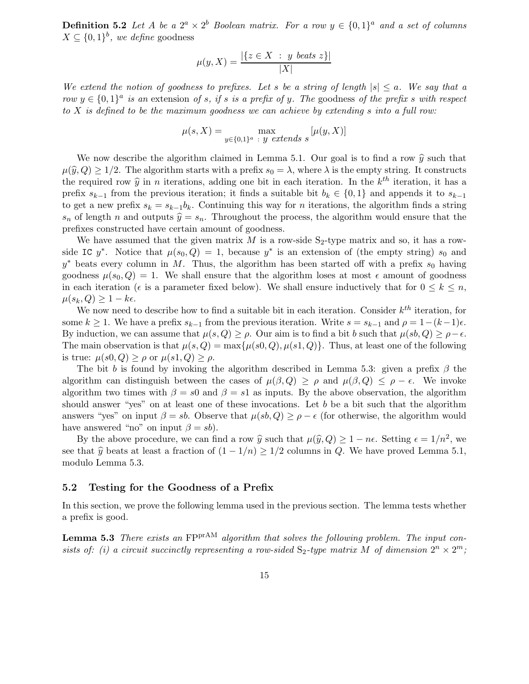**Definition 5.2** Let A be a  $2^a \times 2^b$  Boolean matrix. For a row  $y \in \{0,1\}^a$  and a set of columns  $X \subseteq \{0,1\}^b$ , we define goodness

$$
\mu(y, X) = \frac{|\{z \in X : y \text{ beats } z\}|}{|X|}
$$

We extend the notion of goodness to prefixes. Let s be a string of length  $|s| \le a$ . We say that a row  $y \in \{0,1\}^a$  is an extension of s, if s is a prefix of y. The goodness of the prefix s with respect to X is defined to be the maximum goodness we can achieve by extending s into a full row:

$$
\mu(s, X) = \max_{y \in \{0, 1\}^a \ : \ y \ extends \ s} [\mu(y, X)]
$$

We now describe the algorithm claimed in Lemma 5.1. Our goal is to find a row  $\hat{y}$  such that  $\mu(\widehat{y}, Q) \geq 1/2$ . The algorithm starts with a prefix  $s_0 = \lambda$ , where  $\lambda$  is the empty string. It constructs the required row  $\hat{y}$  in *n* iterations, adding one bit in each iteration. In the  $k^{th}$  iteration, it has a prefix  $s_{k-1}$  from the previous iteration; it finds a suitable bit  $b_k \in \{0,1\}$  and appends it to  $s_{k-1}$ to get a new prefix  $s_k = s_{k-1}b_k$ . Continuing this way for *n* iterations, the algorithm finds a string  $s_n$  of length n and outputs  $\hat{y} = s_n$ . Throughout the process, the algorithm would ensure that the prefixes constructed have certain amount of goodness.

We have assumed that the given matrix  $M$  is a row-side  $S_2$ -type matrix and so, it has a rowside IC  $y^*$ . Notice that  $\mu(s_0, Q) = 1$ , because  $y^*$  is an extension of (the empty string)  $s_0$  and  $y^*$  beats every column in M. Thus, the algorithm has been started off with a prefix  $s_0$  having goodness  $\mu(s_0, Q) = 1$ . We shall ensure that the algorithm loses at most  $\epsilon$  amount of goodness in each iteration ( $\epsilon$  is a parameter fixed below). We shall ensure inductively that for  $0 \leq k \leq n$ ,  $\mu(s_k, Q) \geq 1 - k\epsilon.$ 

We now need to describe how to find a suitable bit in each iteration. Consider  $k^{th}$  iteration, for some  $k \ge 1$ . We have a prefix  $s_{k-1}$  from the previous iteration. Write  $s = s_{k-1}$  and  $\rho = 1-(k-1)\epsilon$ . By induction, we can assume that  $\mu(s, Q) \ge \rho$ . Our aim is to find a bit b such that  $\mu(s, Q) \ge \rho - \epsilon$ . The main observation is that  $\mu(s, Q) = \max{\mu(s, Q), \mu(s, Q)}$ . Thus, at least one of the following is true:  $\mu(s, Q) > \rho$  or  $\mu(s, Q) > \rho$ .

The bit b is found by invoking the algorithm described in Lemma 5.3: given a prefix  $\beta$  the algorithm can distinguish between the cases of  $\mu(\beta, Q) \ge \rho$  and  $\mu(\beta, Q) \le \rho - \epsilon$ . We invoke algorithm two times with  $\beta = s_0$  and  $\beta = s_1$  as inputs. By the above observation, the algorithm should answer "yes" on at least one of these invocations. Let b be a bit such that the algorithm answers "yes" on input  $\beta = sb$ . Observe that  $\mu(sh, Q) \ge \rho - \epsilon$  (for otherwise, the algorithm would have answered "no" on input  $\beta = sb$ ).

By the above procedure, we can find a row  $\hat{y}$  such that  $\mu(\hat{y}, Q) \ge 1 - n\epsilon$ . Setting  $\epsilon = 1/n^2$ , we see that  $\hat{y}$  beats at least a fraction of  $(1 - 1/n) \ge 1/2$  columns in Q. We have proved Lemma 5.1, modulo Lemma 5.3.

#### 5.2 Testing for the Goodness of a Prefix

In this section, we prove the following lemma used in the previous section. The lemma tests whether a prefix is good.

**Lemma 5.3** There exists an  $FPT^{A}$  algorithm that solves the following problem. The input consists of: (i) a circuit succinctly representing a row-sided  $S_2$ -type matrix M of dimension  $2^n \times 2^m$ ;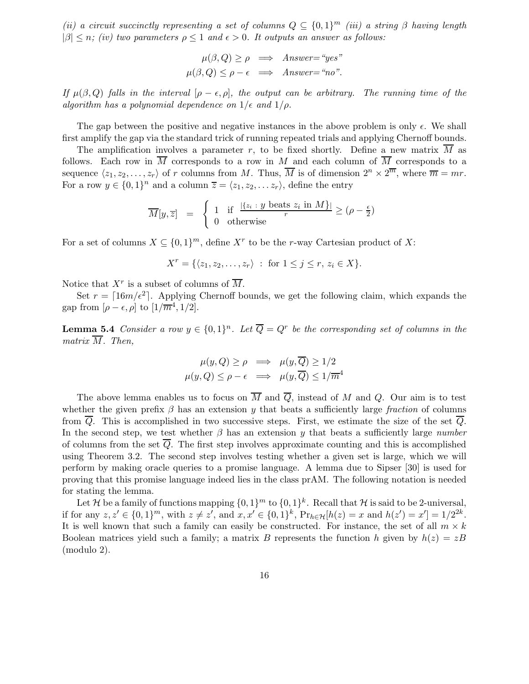(ii) a circuit succinctly representing a set of columns  $Q \subseteq \{0,1\}^m$  (iii) a string  $\beta$  having length  $|\beta| \leq n$ ; (iv) two parameters  $\rho \leq 1$  and  $\epsilon > 0$ . It outputs an answer as follows:

$$
\mu(\beta, Q) \ge \rho \implies \text{Answer} = \text{``yes''}
$$

$$
\mu(\beta, Q) \le \rho - \epsilon \implies \text{Answer} = \text{``no''}.
$$

If  $\mu(\beta, Q)$  falls in the interval  $[\rho - \epsilon, \rho]$ , the output can be arbitrary. The running time of the algorithm has a polynomial dependence on  $1/\epsilon$  and  $1/\rho$ .

The gap between the positive and negative instances in the above problem is only  $\epsilon$ . We shall first amplify the gap via the standard trick of running repeated trials and applying Chernoff bounds.

The amplification involves a parameter r, to be fixed shortly. Define a new matrix  $\overline{M}$  as follows. Each row in  $\overline{M}$  corresponds to a row in M and each column of  $\overline{M}$  corresponds to a sequence  $\langle z_1, z_2, \ldots, z_r \rangle$  of r columns from M. Thus,  $\overline{M}$  is of dimension  $2^n \times 2^{\overline{m}}$ , where  $\overline{m} = mr$ . For a row  $y \in \{0,1\}^n$  and a column  $\overline{z} = \langle z_1, z_2, \ldots z_r \rangle$ , define the entry

$$
\overline{M}[y,\overline{z}] = \begin{cases} 1 & \text{if } \frac{|\{z_i : y \text{ beats } z_i \text{ in } M\}|}{r} \ge (\rho - \frac{\epsilon}{2}) \\ 0 & \text{otherwise} \end{cases}
$$

For a set of columns  $X \subseteq \{0,1\}^m$ , define  $X^r$  to be the r-way Cartesian product of X:

$$
X^r = \{ \langle z_1, z_2, \dots, z_r \rangle : \text{ for } 1 \le j \le r, z_i \in X \}.
$$

Notice that  $X^r$  is a subset of columns of  $\overline{M}$ .

Set  $r = \lceil 16m/\epsilon^2 \rceil$ . Applying Chernoff bounds, we get the following claim, which expands the gap from  $[\rho - \epsilon, \rho]$  to  $[1/\overline{m}^4, 1/2]$ .

**Lemma 5.4** Consider a row  $y \in \{0,1\}^n$ . Let  $\overline{Q} = Q^r$  be the corresponding set of columns in the matrix  $\overline{M}$ . Then,

$$
\mu(y, Q) \ge \rho \implies \mu(y, \overline{Q}) \ge 1/2
$$
  

$$
\mu(y, Q) \le \rho - \epsilon \implies \mu(y, \overline{Q}) \le 1/\overline{m}^4
$$

The above lemma enables us to focus on  $\overline{M}$  and  $\overline{Q}$ , instead of M and Q. Our aim is to test whether the given prefix  $\beta$  has an extension y that beats a sufficiently large fraction of columns from  $\overline{Q}$ . This is accomplished in two successive steps. First, we estimate the size of the set  $\overline{Q}$ . In the second step, we test whether  $\beta$  has an extension y that beats a sufficiently large number of columns from the set  $\overline{Q}$ . The first step involves approximate counting and this is accomplished using Theorem 3.2. The second step involves testing whether a given set is large, which we will perform by making oracle queries to a promise language. A lemma due to Sipser [30] is used for proving that this promise language indeed lies in the class prAM. The following notation is needed for stating the lemma.

Let H be a family of functions mapping  $\{0,1\}^m$  to  $\{0,1\}^k$ . Recall that H is said to be 2-universal, if for any  $z, z' \in \{0, 1\}^m$ , with  $z \neq z'$ , and  $x, x' \in \{0, 1\}^k$ ,  $Pr_{h \in \mathcal{H}}[h(z) = x$  and  $h(z') = x'] = 1/2^{2k}$ . It is well known that such a family can easily be constructed. For instance, the set of all  $m \times k$ Boolean matrices yield such a family; a matrix B represents the function h given by  $h(z) = zB$ (modulo 2).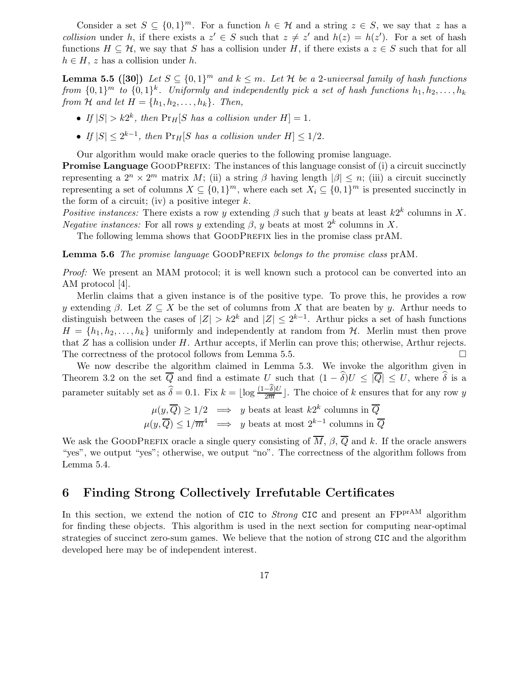Consider a set  $S \subseteq \{0,1\}^m$ . For a function  $h \in \mathcal{H}$  and a string  $z \in S$ , we say that z has a collision under h, if there exists a  $z' \in S$  such that  $z \neq z'$  and  $h(z) = h(z')$ . For a set of hash functions  $H \subseteq \mathcal{H}$ , we say that S has a collision under H, if there exists a  $z \in S$  such that for all  $h \in H$ , z has a collision under h.

**Lemma 5.5 ([30])** Let  $S \subseteq \{0,1\}^m$  and  $k \leq m$ . Let H be a 2-universal family of hash functions from  $\{0,1\}^m$  to  $\{0,1\}^k$ . Uniformly and independently pick a set of hash functions  $h_1, h_2, \ldots, h_k$ from H and let  $H = \{h_1, h_2, \ldots, h_k\}$ . Then,

- If  $|S| > k2^k$ , then  $\Pr_H[S$  has a collision under  $H] = 1$ .
- If  $|S| \leq 2^{k-1}$ , then  $\Pr_H[S]$  has a collision under  $H] \leq 1/2$ .

Our algorithm would make oracle queries to the following promise language.

**Promise Language** GOODPREFIX: The instances of this language consist of (i) a circuit succinctly representing a  $2^n \times 2^m$  matrix M; (ii) a string  $\beta$  having length  $|\beta| \leq n$ ; (iii) a circuit succinctly representing a set of columns  $X \subseteq \{0,1\}^m$ , where each set  $X_i \subseteq \{0,1\}^m$  is presented succinctly in the form of a circuit; (iv) a positive integer  $k$ .

Positive instances: There exists a row y extending  $\beta$  such that y beats at least  $k2^k$  columns in X. Negative instances: For all rows y extending  $\beta$ , y beats at most  $2^k$  columns in X.

The following lemma shows that GOODPREFIX lies in the promise class prAM.

Lemma 5.6 The promise language GOODPREFIX belongs to the promise class prAM.

Proof: We present an MAM protocol; it is well known such a protocol can be converted into an AM protocol [4].

Merlin claims that a given instance is of the positive type. To prove this, he provides a row y extending β. Let  $Z \subseteq X$  be the set of columns from X that are beaten by y. Arthur needs to distinguish between the cases of  $|Z| > k2^k$  and  $|Z| \leq 2^{k-1}$ . Arthur picks a set of hash functions  $H = \{h_1, h_2, \ldots, h_k\}$  uniformly and independently at random from  $H$ . Merlin must then prove that  $Z$  has a collision under  $H$ . Arthur accepts, if Merlin can prove this; otherwise, Arthur rejects. The correctness of the protocol follows from Lemma 5.5.

We now describe the algorithm claimed in Lemma 5.3. We invoke the algorithm given in Theorem 3.2 on the set  $\overline{Q}$  and find a estimate U such that  $(1 - \delta)U \leq |\overline{Q}| \leq U$ , where  $\delta$  is a parameter suitably set as  $\hat{\delta} = 0.1$ . Fix  $k = \lfloor \log \frac{(1-\delta)U}{2\overline{m}} \rfloor$ . The choice of k ensures that for any row y

$$
\mu(y, \overline{Q}) \ge 1/2 \implies y \text{ beats at least } k2^k \text{ columns in } \overline{Q}
$$
  

$$
\mu(y, \overline{Q}) \le 1/\overline{m}^4 \implies y \text{ beats at most } 2^{k-1} \text{ columns in } \overline{Q}
$$

We ask the GOODPREFIX oracle a single query consisting of  $\overline{M}$ ,  $\beta$ ,  $\overline{Q}$  and k. If the oracle answers "yes", we output "yes"; otherwise, we output "no". The correctness of the algorithm follows from Lemma 5.4.

### 6 Finding Strong Collectively Irrefutable Certificates

In this section, we extend the notion of CIC to *Strong* CIC and present an  $FP^{prAM}$  algorithm for finding these objects. This algorithm is used in the next section for computing near-optimal strategies of succinct zero-sum games. We believe that the notion of strong CIC and the algorithm developed here may be of independent interest.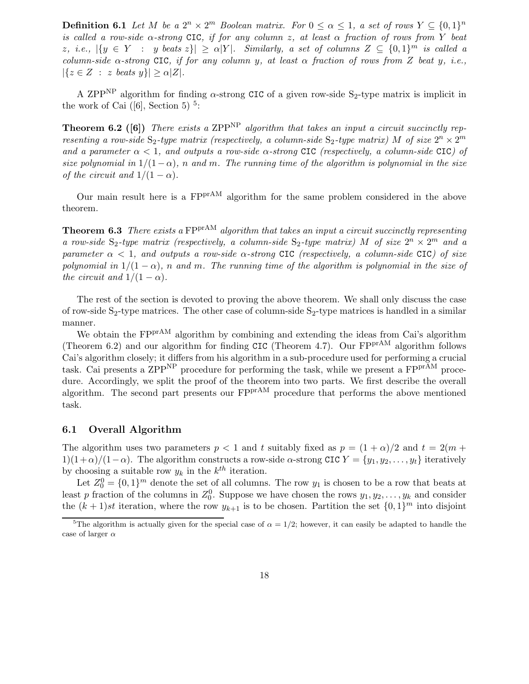**Definition 6.1** Let M be a  $2^n \times 2^m$  Boolean matrix. For  $0 \le \alpha \le 1$ , a set of rows  $Y \subseteq \{0,1\}^n$ is called a row-side  $\alpha$ -strong CIC, if for any column z, at least  $\alpha$  fraction of rows from Y beat z, i.e.,  $|\{y \in Y : y \text{ beats } z\}| \ge \alpha |Y|$ . Similarly, a set of columns  $Z \subseteq \{0,1\}^m$  is called a column-side  $\alpha$ -strong CIC, if for any column y, at least  $\alpha$  fraction of rows from Z beat y, i.e.,  $|\{z \in Z : z \text{ beats } y\}| \ge \alpha |Z|.$ 

A ZPP<sup>NP</sup> algorithm for finding  $\alpha$ -strong CIC of a given row-side S<sub>2</sub>-type matrix is implicit in the work of Cai  $([6],$  Section 5)<sup>5</sup>:

**Theorem 6.2** ([6]) There exists a ZPP<sup>NP</sup> algorithm that takes an input a circuit succinctly representing a row-side  $S_2$ -type matrix (respectively, a column-side  $S_2$ -type matrix) M of size  $2^n \times 2^m$ and a parameter  $\alpha < 1$ , and outputs a row-side  $\alpha$ -strong CIC (respectively, a column-side CIC) of size polynomial in  $1/(1-\alpha)$ , n and m. The running time of the algorithm is polynomial in the size of the circuit and  $1/(1 - \alpha)$ .

Our main result here is a  $FPT^{A}$  algorithm for the same problem considered in the above theorem.

**Theorem 6.3** There exists a  $FPTAM$  algorithm that takes an input a circuit succinctly representing a row-side  $S_2$ -type matrix (respectively, a column-side  $S_2$ -type matrix) M of size  $2^n \times 2^m$  and a parameter  $\alpha < 1$ , and outputs a row-side  $\alpha$ -strong CIC (respectively, a column-side CIC) of size polynomial in  $1/(1 - \alpha)$ , n and m. The running time of the algorithm is polynomial in the size of the circuit and  $1/(1 - \alpha)$ .

The rest of the section is devoted to proving the above theorem. We shall only discuss the case of row-side  $S_2$ -type matrices. The other case of column-side  $S_2$ -type matrices is handled in a similar manner.

We obtain the FP<sup>prAM</sup> algorithm by combining and extending the ideas from Cai's algorithm (Theorem 6.2) and our algorithm for finding CIC (Theorem 4.7). Our  $FP<sup>prAM</sup>$  algorithm follows Cai's algorithm closely; it differs from his algorithm in a sub-procedure used for performing a crucial task. Cai presents a ZPP<sup>NP</sup> procedure for performing the task, while we present a FP<sup>prAM</sup> procedure. Accordingly, we split the proof of the theorem into two parts. We first describe the overall algorithm. The second part presents our  $FPT^{A}$  procedure that performs the above mentioned task.

#### 6.1 Overall Algorithm

The algorithm uses two parameters  $p < 1$  and t suitably fixed as  $p = (1 + \alpha)/2$  and  $t = 2(m +$  $1(1+\alpha)/(1-\alpha)$ . The algorithm constructs a row-side  $\alpha$ -strong CIC  $Y = \{y_1, y_2, \ldots, y_t\}$  iteratively by choosing a suitable row  $y_k$  in the  $k^{th}$  iteration.

Let  $Z_0^0 = \{0,1\}^m$  denote the set of all columns. The row  $y_1$  is chosen to be a row that beats at least p fraction of the columns in  $Z_0^0$ . Suppose we have chosen the rows  $y_1, y_2, \ldots, y_k$  and consider the  $(k+1)st$  iteration, where the row  $y_{k+1}$  is to be chosen. Partition the set  $\{0,1\}^m$  into disjoint

<sup>&</sup>lt;sup>5</sup>The algorithm is actually given for the special case of  $\alpha = 1/2$ ; however, it can easily be adapted to handle the case of larger  $\alpha$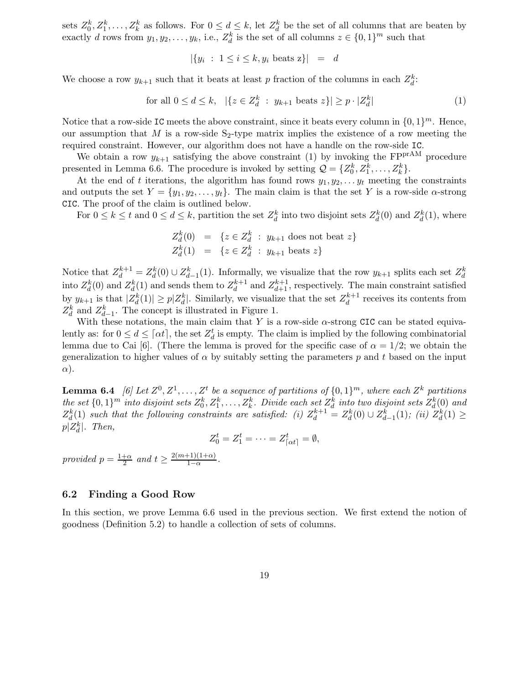sets  $Z_0^k, Z_1^k, \ldots, Z_k^k$  as follows. For  $0 \leq d \leq k$ , let  $Z_d^k$  be the set of all columns that are beaten by exactly d rows from  $y_1, y_2, \ldots, y_k$ , i.e.,  $Z_d^k$  is the set of all columns  $z \in \{0, 1\}^m$  such that

$$
|\{y_i \; : \; 1 \le i \le k, y_i \text{ beats } z\}| = d
$$

We choose a row  $y_{k+1}$  such that it beats at least p fraction of the columns in each  $Z_d^k$ :

for all 
$$
0 \le d \le k
$$
,  $|\{z \in Z_d^k : y_{k+1} \text{ beats } z\}| \ge p \cdot |Z_d^k|$  (1)

Notice that a row-side IC meets the above constraint, since it beats every column in  $\{0, 1\}^m$ . Hence, our assumption that M is a row-side  $S_2$ -type matrix implies the existence of a row meeting the required constraint. However, our algorithm does not have a handle on the row-side IC.

We obtain a row  $y_{k+1}$  satisfying the above constraint (1) by invoking the FP<sup>prAM</sup> procedure presented in Lemma 6.6. The procedure is invoked by setting  $\mathcal{Q} = \{Z_0^k, Z_1^k, \ldots, Z_k^k\}.$ 

At the end of t iterations, the algorithm has found rows  $y_1, y_2, \ldots y_t$  meeting the constraints and outputs the set  $Y = \{y_1, y_2, \ldots, y_t\}$ . The main claim is that the set Y is a row-side  $\alpha$ -strong CIC. The proof of the claim is outlined below.

For  $0 \le k \le t$  and  $0 \le d \le k$ , partition the set  $Z_d^k$  into two disjoint sets  $Z_d^k(0)$  and  $Z_d^k(1)$ , where

$$
Z_d^k(0) = \{ z \in Z_d^k : y_{k+1} \text{ does not beat } z \}
$$
  

$$
Z_d^k(1) = \{ z \in Z_d^k : y_{k+1} \text{ beats } z \}
$$

Notice that  $Z_d^{k+1} = Z_d^k(0) \cup Z_{d-1}^k(1)$ . Informally, we visualize that the row  $y_{k+1}$  splits each set  $Z_d^k$ into  $Z_d^k(0)$  and  $Z_d^k(1)$  and sends them to  $Z_d^{k+1}$  and  $Z_{d+1}^{k+1}$ , respectively. The main constraint satisfied by  $y_{k+1}$  is that  $|Z_d^k(1)| \geq p|Z_d^k|$ . Similarly, we visualize that the set  $Z_d^{k+1}$  receives its contents from  $Z_d^k$  and  $Z_{d-1}^k$ . The concept is illustrated in Figure 1.

With these notations, the main claim that Y is a row-side  $\alpha$ -strong CIC can be stated equivalently as: for  $0 \le d \le \lceil \alpha t \rceil$ , the set  $Z_d^t$  is empty. The claim is implied by the following combinatorial lemma due to Cai [6]. (There the lemma is proved for the specific case of  $\alpha = 1/2$ ; we obtain the generalization to higher values of  $\alpha$  by suitably setting the parameters p and t based on the input  $\alpha$ ).

**Lemma 6.4** [6] Let  $Z^0, Z^1, \ldots, Z^t$  be a sequence of partitions of  $\{0,1\}^m$ , where each  $Z^k$  partitions the set  $\{0,1\}^m$  into disjoint sets  $Z_0^k, Z_1^k, \ldots, Z_k^k$ . Divide each set  $Z_d^k$  into two disjoint sets  $Z_d^k(0)$  and  $Z_d^k(1)$  such that the following constraints are satisfied: (i)  $Z_d^{k+1} = Z_d^k(0) \cup Z_{d-1}^k(1)$ ; (ii)  $Z_d^k(1) \ge$  $p|Z_d^k|$ . Then,

$$
Z_0^t = Z_1^t = \cdots = Z_{\lceil \alpha t \rceil}^t = \emptyset,
$$

provided  $p = \frac{1+\alpha}{2}$  $\frac{1+\alpha}{2}$  and  $t \geq \frac{2(m+1)(1+\alpha)}{1-\alpha}$  $\frac{\frac{1}{1-\alpha}}{1-\alpha}$ .

#### 6.2 Finding a Good Row

In this section, we prove Lemma 6.6 used in the previous section. We first extend the notion of goodness (Definition 5.2) to handle a collection of sets of columns.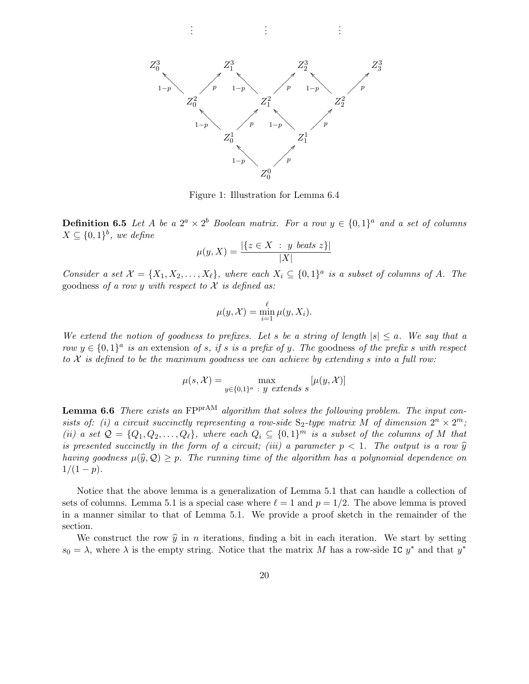. . . . . . . . .



Figure 1: Illustration for Lemma 6.4

**Definition 6.5** Let A be a  $2^a \times 2^b$  Boolean matrix. For a row  $y \in \{0,1\}^a$  and a set of columns  $X \subseteq \{0,1\}^b$ , we define

$$
\mu(y, X) = \frac{|\{z \in X \ : \ y \ beats \ z\}|}{|X|}
$$

Consider a set  $\mathcal{X} = \{X_1, X_2, \ldots, X_\ell\}$ , where each  $X_i \subseteq \{0,1\}^a$  is a subset of columns of A. The goodness of a row y with respect to  $\mathcal X$  is defined as:

$$
\mu(y, \mathcal{X}) = \min_{i=1}^{\ell} \mu(y, X_i).
$$

We extend the notion of goodness to prefixes. Let s be a string of length  $|s| \le a$ . We say that a row  $y \in \{0,1\}^a$  is an extension of s, if s is a prefix of y. The goodness of the prefix s with respect to  $\mathcal X$  is defined to be the maximum goodness we can achieve by extending s into a full row:

$$
\mu(s, \mathcal{X}) = \max_{y \in \{0, 1\}^a \ : \ y \text{ extends } s} [\mu(y, \mathcal{X})]
$$

**Lemma 6.6** There exists an  $FPTAM$  algorithm that solves the following problem. The input consists of: (i) a circuit succinctly representing a row-side  $S_2$ -type matrix M of dimension  $2^n \times 2^m$ ; (ii) a set  $\mathcal{Q} = \{Q_1, Q_2, \ldots, Q_\ell\}$ , where each  $Q_i \subseteq \{0,1\}^m$  is a subset of the columns of M that is presented succinctly in the form of a circuit; (iii) a parameter  $p < 1$ . The output is a row  $\hat{y}$ having goodness  $\mu(\hat{y}, \mathcal{Q}) \geq p$ . The running time of the algorithm has a polynomial dependence on  $1/(1-p)$ .

Notice that the above lemma is a generalization of Lemma 5.1 that can handle a collection of sets of columns. Lemma 5.1 is a special case where  $\ell = 1$  and  $p = 1/2$ . The above lemma is proved in a manner similar to that of Lemma 5.1. We provide a proof sketch in the remainder of the section.

We construct the row  $\hat{y}$  in n iterations, finding a bit in each iteration. We start by setting  $s_0 = \lambda$ , where  $\lambda$  is the empty string. Notice that the matrix M has a row-side IC  $y^*$  and that  $y^*$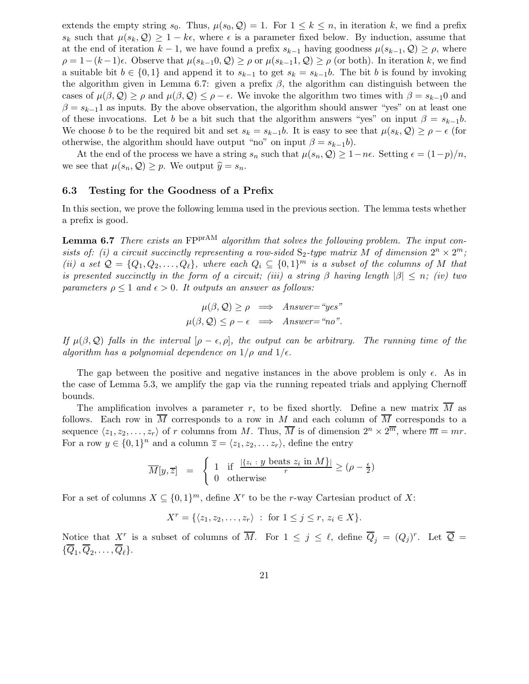extends the empty string  $s_0$ . Thus,  $\mu(s_0, \mathcal{Q}) = 1$ . For  $1 \leq k \leq n$ , in iteration k, we find a prefix  $s_k$  such that  $\mu(s_k, \mathcal{Q}) \geq 1 - k\epsilon$ , where  $\epsilon$  is a parameter fixed below. By induction, assume that at the end of iteration  $k-1$ , we have found a prefix  $s_{k-1}$  having goodness  $\mu(s_{k-1}, \mathcal{Q}) \geq \rho$ , where  $\rho = 1-(k-1)\epsilon$ . Observe that  $\mu(s_{k-1}0, \mathcal{Q}) \ge \rho$  or  $\mu(s_{k-1}1, \mathcal{Q}) \ge \rho$  (or both). In iteration k, we find a suitable bit  $b \in \{0,1\}$  and append it to  $s_{k-1}$  to get  $s_k = s_{k-1}b$ . The bit b is found by invoking the algorithm given in Lemma 6.7: given a prefix  $\beta$ , the algorithm can distinguish between the cases of  $\mu(\beta, \mathcal{Q}) \ge \rho$  and  $\mu(\beta, \mathcal{Q}) \le \rho - \epsilon$ . We invoke the algorithm two times with  $\beta = s_{k-1}0$  and  $\beta = s_{k-1}1$  as inputs. By the above observation, the algorithm should answer "yes" on at least one of these invocations. Let b be a bit such that the algorithm answers "yes" on input  $\beta = s_{k-1}b$ . We choose b to be the required bit and set  $s_k = s_{k-1}b$ . It is easy to see that  $\mu(s_k, \mathcal{Q}) \ge \rho - \epsilon$  (for otherwise, the algorithm should have output "no" on input  $\beta = s_{k-1}b$ ).

At the end of the process we have a string  $s_n$  such that  $\mu(s_n, \mathcal{Q}) \geq 1 - n\epsilon$ . Setting  $\epsilon = (1-p)/n$ , we see that  $\mu(s_n, \mathcal{Q}) \geq p$ . We output  $\widehat{y} = s_n$ .

#### 6.3 Testing for the Goodness of a Prefix

In this section, we prove the following lemma used in the previous section. The lemma tests whether a prefix is good.

**Lemma 6.7** There exists an  $FPT^{A}$  algorithm that solves the following problem. The input consists of: (i) a circuit succinctly representing a row-sided  $S_2$ -type matrix M of dimension  $2^n \times 2^m$ ; (ii) a set  $\mathcal{Q} = \{Q_1, Q_2, \ldots, Q_\ell\}$ , where each  $Q_i \subseteq \{0,1\}^m$  is a subset of the columns of M that is presented succinctly in the form of a circuit; (iii) a string β having length  $|\beta| \leq n$ ; (iv) two parameters  $\rho \leq 1$  and  $\epsilon > 0$ . It outputs an answer as follows:

$$
\mu(\beta, \mathcal{Q}) \ge \rho \implies \text{Answer} = \text{``yes''}
$$

$$
\mu(\beta, \mathcal{Q}) \le \rho - \epsilon \implies \text{Answer} = \text{``no''}.
$$

If  $\mu(\beta, \mathcal{Q})$  falls in the interval  $[\rho - \epsilon, \rho]$ , the output can be arbitrary. The running time of the algorithm has a polynomial dependence on  $1/\rho$  and  $1/\epsilon$ .

The gap between the positive and negative instances in the above problem is only  $\epsilon$ . As in the case of Lemma 5.3, we amplify the gap via the running repeated trials and applying Chernoff bounds.

The amplification involves a parameter r, to be fixed shortly. Define a new matrix  $\overline{M}$  as follows. Each row in  $\overline{M}$  corresponds to a row in M and each column of  $\overline{M}$  corresponds to a sequence  $\langle z_1, z_2, \ldots, z_r \rangle$  of r columns from M. Thus,  $\overline{M}$  is of dimension  $2^n \times 2^{\overline{m}}$ , where  $\overline{m} = mr$ . For a row  $y \in \{0,1\}^n$  and a column  $\overline{z} = \langle z_1, z_2, \ldots z_r \rangle$ , define the entry

$$
\overline{M}[y,\overline{z}] = \begin{cases} 1 & \text{if } \frac{|\{z_i : y \text{ beats } z_i \text{ in } M\}|}{r} \ge (\rho - \frac{\epsilon}{2}) \\ 0 & \text{otherwise} \end{cases}
$$

For a set of columns  $X \subseteq \{0,1\}^m$ , define  $X^r$  to be the r-way Cartesian product of X:

 $X^r = \{ \langle z_1, z_2, \ldots, z_r \rangle : \text{ for } 1 \leq j \leq r, z_i \in X \}.$ 

Notice that  $X^r$  is a subset of columns of  $\overline{M}$ . For  $1 \leq j \leq \ell$ , define  $\overline{Q}_j = (Q_j)^r$ . Let  $\overline{Q} =$  $\{Q_1, Q_2, \ldots, Q_\ell\}.$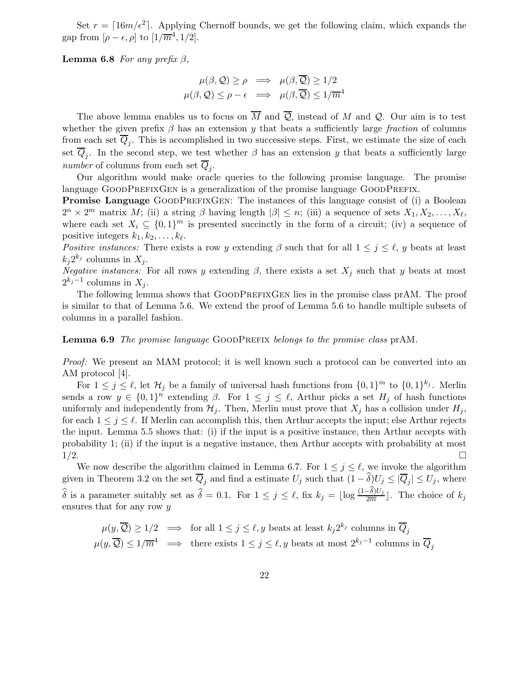Set  $r = \lceil 16m/\epsilon^2 \rceil$ . Applying Chernoff bounds, we get the following claim, which expands the gap from  $[\rho - \epsilon, \rho]$  to  $[1/\overline{m}^4, 1/2]$ .

Lemma 6.8 For any prefix  $\beta$ ,

$$
\mu(\beta, \mathcal{Q}) \ge \rho \implies \mu(\beta, \overline{\mathcal{Q}}) \ge 1/2
$$
  

$$
\mu(\beta, \mathcal{Q}) \le \rho - \epsilon \implies \mu(\beta, \overline{\mathcal{Q}}) \le 1/\overline{m}^4
$$

The above lemma enables us to focus on  $\overline{M}$  and  $\overline{Q}$ , instead of M and Q. Our aim is to test whether the given prefix  $\beta$  has an extension y that beats a sufficiently large fraction of columns from each set  $Q_j$ . This is accomplished in two successive steps. First, we estimate the size of each set  $Q_j$ . In the second step, we test whether  $\beta$  has an extension y that beats a sufficiently large number of columns from each set  $Q_j$ .

Our algorithm would make oracle queries to the following promise language. The promise language GOODPREFIXGEN is a generalization of the promise language GOODPREFIX.

Promise Language GOODPREFIXGEN: The instances of this language consist of (i) a Boolean  $2^n \times 2^m$  matrix M; (ii) a string  $\beta$  having length  $|\beta| \leq n$ ; (iii) a sequence of sets  $X_1, X_2, \ldots, X_\ell$ , where each set  $X_i \subseteq \{0,1\}^m$  is presented succinctly in the form of a circuit; (iv) a sequence of positive integers  $k_1, k_2, \ldots, k_\ell$ .

Positive instances: There exists a row y extending  $\beta$  such that for all  $1 \leq j \leq \ell$ , y beats at least  $k_j 2^{k_j}$  columns in  $X_j$ .

Negative instances: For all rows y extending  $\beta$ , there exists a set  $X_j$  such that y beats at most  $2^{k_j-1}$  columns in  $X_j$ .

The following lemma shows that GOODPREFIXGEN lies in the promise class prAM. The proof is similar to that of Lemma 5.6. We extend the proof of Lemma 5.6 to handle multiple subsets of columns in a parallel fashion.

#### Lemma 6.9 The promise language GOODPREFIX belongs to the promise class prAM.

Proof: We present an MAM protocol; it is well known such a protocol can be converted into an AM protocol [4].

For  $1 \leq j \leq \ell$ , let  $\mathcal{H}_j$  be a family of universal hash functions from  $\{0,1\}^m$  to  $\{0,1\}^{k_j}$ . Merlin sends a row  $y \in \{0,1\}^n$  extending  $\beta$ . For  $1 \leq j \leq \ell$ , Arthur picks a set  $H_j$  of hash functions uniformly and independently from  $\mathcal{H}_i$ . Then, Merlin must prove that  $X_i$  has a collision under  $H_i$ , for each  $1 \leq j \leq \ell$ . If Merlin can accomplish this, then Arthur accepts the input; else Arthur rejects the input. Lemma 5.5 shows that: (i) if the input is a positive instance, then Arthur accepts with probability 1; (ii) if the input is a negative instance, then Arthur accepts with probability at most  $1/2$ .

We now describe the algorithm claimed in Lemma 6.7. For  $1 \leq j \leq \ell$ , we invoke the algorithm given in Theorem 3.2 on the set  $Q_j$  and find a estimate  $U_j$  such that  $(1 - \delta)U_j \leq |Q_j| \leq U_j$ , where  $\widehat{\delta}$  is a parameter suitably set as  $\widehat{\delta} = 0.1$ . For  $1 \leq j \leq \ell$ , fix  $k_j = \lfloor \log \frac{(1-\delta)U_j}{2\overline{m}} \rfloor$ . The choice of  $k_j$ ensures that for any row y

$$
\mu(y, \overline{Q}) \ge 1/2 \implies \text{ for all } 1 \le j \le \ell, y \text{ beats at least } k_j 2^{k_j} \text{ columns in } \overline{Q}_j
$$
  

$$
\mu(y, \overline{Q}) \le 1/\overline{m}^4 \implies \text{ there exists } 1 \le j \le \ell, y \text{ beats at most } 2^{k_j - 1} \text{ columns in } \overline{Q}_j
$$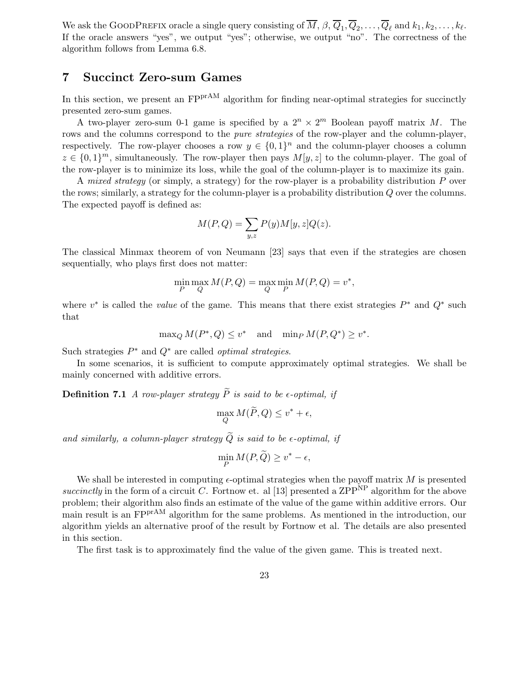We ask the GOODPREFIX oracle a single query consisting of  $\overline{M}$ ,  $\beta$ ,  $\overline{Q}_1$ ,  $\overline{Q}_2$ , . . . ,  $\overline{Q}_\ell$  and  $k_1, k_2, \ldots, k_\ell$ . If the oracle answers "yes", we output "yes"; otherwise, we output "no". The correctness of the algorithm follows from Lemma 6.8.

### 7 Succinct Zero-sum Games

In this section, we present an  $\text{FP}^{\text{prAM}}$  algorithm for finding near-optimal strategies for succinctly presented zero-sum games.

A two-player zero-sum 0-1 game is specified by a  $2^n \times 2^m$  Boolean payoff matrix M. The rows and the columns correspond to the *pure strategies* of the row-player and the column-player, respectively. The row-player chooses a row  $y \in \{0,1\}^n$  and the column-player chooses a column  $z \in \{0,1\}^m$ , simultaneously. The row-player then pays  $M[y, z]$  to the column-player. The goal of the row-player is to minimize its loss, while the goal of the column-player is to maximize its gain.

A mixed strategy (or simply, a strategy) for the row-player is a probability distribution  $P$  over the rows; similarly, a strategy for the column-player is a probability distribution Q over the columns. The expected payoff is defined as:

$$
M(P,Q) = \sum_{y,z} P(y)M[y,z]Q(z).
$$

The classical Minmax theorem of von Neumann [23] says that even if the strategies are chosen sequentially, who plays first does not matter:

$$
\min_{P} \max_{Q} M(P,Q) = \max_{Q} \min_{P} M(P,Q) = v^*,
$$

where  $v^*$  is called the *value* of the game. This means that there exist strategies  $P^*$  and  $Q^*$  such that

$$
\max_{Q} M(P^*, Q) \le v^* \quad \text{and} \quad \min_{P} M(P, Q^*) \ge v^*.
$$

Such strategies  $P^*$  and  $Q^*$  are called *optimal strategies*.

In some scenarios, it is sufficient to compute approximately optimal strategies. We shall be mainly concerned with additive errors.

**Definition 7.1** A row-player strategy  $\widetilde{P}$  is said to be  $\epsilon$ -optimal, if

$$
\max_{Q} M(\widetilde{P}, Q) \le v^* + \epsilon,
$$

and similarly, a column-player strategy  $\widetilde{Q}$  is said to be  $\epsilon$ -optimal, if

$$
\min_{P} M(P, \widetilde{Q}) \ge v^* - \epsilon,
$$

We shall be interested in computing  $\epsilon$ -optimal strategies when the payoff matrix M is presented succinctly in the form of a circuit C. Fortnow et. al [13] presented a ZPP<sup>NP</sup> algorithm for the above problem; their algorithm also finds an estimate of the value of the game within additive errors. Our main result is an FP<sup>prAM</sup> algorithm for the same problems. As mentioned in the introduction, our algorithm yields an alternative proof of the result by Fortnow et al. The details are also presented in this section.

The first task is to approximately find the value of the given game. This is treated next.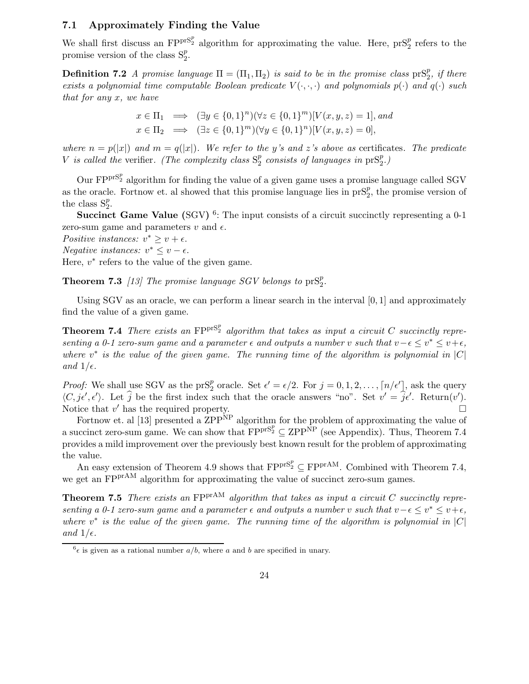#### 7.1 Approximately Finding the Value

We shall first discuss an  $FP^{prS_2^p}$  algorithm for approximating the value. Here,  $prS_2^p$  refers to the promise version of the class  $S_2^p$ .

**Definition 7.2** A promise language  $\Pi = (\Pi_1, \Pi_2)$  is said to be in the promise class  $\text{prS}_2^p$ , if there exists a polynomial time computable Boolean predicate  $V(\cdot,\cdot,\cdot)$  and polynomials  $p(\cdot)$  and  $q(\cdot)$  such that for any x, we have

$$
x \in \Pi_1 \implies (\exists y \in \{0, 1\}^n)(\forall z \in \{0, 1\}^m)[V(x, y, z) = 1], and
$$
  

$$
x \in \Pi_2 \implies (\exists z \in \{0, 1\}^m)(\forall y \in \{0, 1\}^n)[V(x, y, z) = 0],
$$

where  $n = p(|x|)$  and  $m = q(|x|)$ . We refer to the y's and z's above as certificates. The predicate V is called the verifier. (The complexity class  $S_2^p$  $\frac{p}{2}$  consists of languages in  $\text{prS}_2^p$ .)

Our  $\mathrm{FP}^{\mathrm{prS}_2^p}$  algorithm for finding the value of a given game uses a promise language called SGV as the oracle. Fortnow et. al showed that this promise language lies in  $prS_2^p$ , the promise version of the class  $S_2^p$ .

Succinct Game Value (SGV)<sup>6</sup>: The input consists of a circuit succinctly representing a 0-1 zero-sum game and parameters  $v$  and  $\epsilon$ .

Positive instances:  $v^* \geq v + \epsilon$ . Negative instances:  $v^* \leq v - \epsilon$ .

Here,  $v^*$  refers to the value of the given game.

**Theorem 7.3** [13] The promise language SGV belongs to  $prS_2^p$ .

Using SGV as an oracle, we can perform a linear search in the interval [0, 1] and approximately find the value of a given game.

**Theorem 7.4** There exists an  $FP^{prS_2^p}$  algorithm that takes as input a circuit C succinctly representing a 0-1 zero-sum game and a parameter  $\epsilon$  and outputs a number v such that  $v-\epsilon \leq v^* \leq v+\epsilon$ , where  $v^*$  is the value of the given game. The running time of the algorithm is polynomial in  $|C|$ and  $1/\epsilon$ .

*Proof:* We shall use SGV as the pr $S_2^p$  oracle. Set  $\epsilon' = \epsilon/2$ . For  $j = 0, 1, 2, \ldots, \lceil n/\epsilon' \rceil$ , ask the query  $\langle C, j\epsilon', \epsilon' \rangle$ . Let  $\hat{j}$  be the first index such that the oracle answers "no". Set  $v' = \hat{j}\epsilon'$ . Return $(v')$ . Notice that  $v'$  has the required property.

Fortnow et. al [13] presented a  $\rm ZPP<sup>NP</sup>$  algorithm for the problem of approximating the value of a succinct zero-sum game. We can show that  $FPP^{rS_2^p} \subseteq ZPP^{\overrightarrow{NP}}$  (see Appendix). Thus, Theorem 7.4 provides a mild improvement over the previously best known result for the problem of approximating the value.

An easy extension of Theorem 4.9 shows that  $FPT^{S_2^p} \subseteq FPPT^{AM}$ . Combined with Theorem 7.4, we get an FPP<sup>rAM</sup> algorithm for approximating the value of succinct zero-sum games.

**Theorem 7.5** There exists an  $FPTAM$  algorithm that takes as input a circuit C succinctly representing a 0-1 zero-sum game and a parameter  $\epsilon$  and outputs a number v such that  $v-\epsilon \leq v^* \leq v+\epsilon$ , where  $v^*$  is the value of the given game. The running time of the algorithm is polynomial in  $|C|$ and  $1/\epsilon$ .

 ${}^6\epsilon$  is given as a rational number  $a/b$ , where a and b are specified in unary.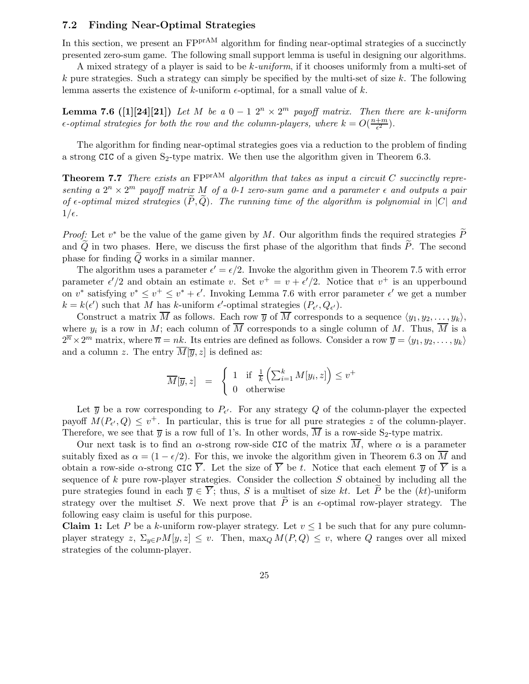#### 7.2 Finding Near-Optimal Strategies

In this section, we present an  $FPT^{A}$  algorithm for finding near-optimal strategies of a succinctly presented zero-sum game. The following small support lemma is useful in designing our algorithms.

A mixed strategy of a player is said to be k-uniform, if it chooses uniformly from a multi-set of  $k$  pure strategies. Such a strategy can simply be specified by the multi-set of size k. The following lemma asserts the existence of k-uniform  $\epsilon$ -optimal, for a small value of k.

**Lemma 7.6** ([1][24][21]) Let M be a  $0-1$   $2^n \times 2^m$  payoff matrix. Then there are k-uniform  $\epsilon$ -optimal strategies for both the row and the column-players, where  $k = O(\frac{n+m}{\epsilon^2})$  $\frac{+m}{\epsilon^2}$ .

The algorithm for finding near-optimal strategies goes via a reduction to the problem of finding a strong CIC of a given  $S_2$ -type matrix. We then use the algorithm given in Theorem 6.3.

**Theorem 7.7** There exists an  $FPTAM$  algorithm that takes as input a circuit C succinctly representing a  $2^n \times 2^m$  payoff matrix M of a 0-1 zero-sum game and a parameter  $\epsilon$  and outputs a pair of  $\epsilon$ -optimal mixed strategies  $(\tilde{P}, \tilde{Q})$ . The running time of the algorithm is polynomial in  $|C|$  and  $1/\epsilon$ .

*Proof:* Let  $v^*$  be the value of the game given by M. Our algorithm finds the required strategies  $\tilde{P}$ and  $Q$  in two phases. Here, we discuss the first phase of the algorithm that finds  $\overline{P}$ . The second phase for finding  $\ddot{Q}$  works in a similar manner.

The algorithm uses a parameter  $\epsilon' = \epsilon/2$ . Invoke the algorithm given in Theorem 7.5 with error parameter  $\epsilon'/2$  and obtain an estimate v. Set  $v^+ = v + \epsilon'/2$ . Notice that  $v^+$  is an upperbound on v<sup>\*</sup> satisfying  $v^* \leq v^* \leq v^* + \epsilon'$ . Invoking Lemma 7.6 with error parameter  $\epsilon'$  we get a number  $k = k(\epsilon')$  such that M has k-uniform  $\epsilon'$ -optimal strategies  $(P_{\epsilon'}, Q_{\epsilon'})$ .

Construct a matrix  $\overline{M}$  as follows. Each row  $\overline{y}$  of  $\overline{M}$  corresponds to a sequence  $\langle y_1, y_2, \ldots, y_k \rangle$ , where  $y_i$  is a row in M; each column of M corresponds to a single column of M. Thus, M is a  $2^{\overline{n}} \times 2^m$  matrix, where  $\overline{n} = nk$ . Its entries are defined as follows. Consider a row  $\overline{y} = \langle y_1, y_2, \dots, y_k \rangle$ and a column z. The entry  $\overline{M}[\overline{y}, z]$  is defined as:

$$
\overline{M}[\overline{y}, z] = \begin{cases} 1 & \text{if } \frac{1}{k} \left( \sum_{i=1}^{k} M[y_i, z] \right) \leq v^+ \\ 0 & \text{otherwise} \end{cases}
$$

Let  $\overline{y}$  be a row corresponding to  $P_{\epsilon'}$ . For any strategy Q of the column-player the expected payoff  $M(P_{\epsilon}, Q) \leq v^+$ . In particular, this is true for all pure strategies z of the column-player. Therefore, we see that  $\overline{y}$  is a row full of 1's. In other words,  $\overline{M}$  is a row-side S<sub>2</sub>-type matrix.

Our next task is to find an  $\alpha$ -strong row-side CIC of the matrix  $\overline{M}$ , where  $\alpha$  is a parameter suitably fixed as  $\alpha = (1 - \epsilon/2)$ . For this, we invoke the algorithm given in Theorem 6.3 on  $\overline{M}$  and obtain a row-side  $\alpha$ -strong CIC  $\overline{Y}$ . Let the size of  $\overline{Y}$  be t. Notice that each element  $\overline{y}$  of  $\overline{Y}$  is a sequence of  $k$  pure row-player strategies. Consider the collection  $S$  obtained by including all the pure strategies found in each  $\overline{y} \in \overline{Y}$ ; thus, S is a multiset of size kt. Let P be the (kt)-uniform strategy over the multiset S. We next prove that P is an  $\epsilon$ -optimal row-player strategy. The following easy claim is useful for this purpose.

**Claim 1:** Let P be a k-uniform row-player strategy. Let  $v \le 1$  be such that for any pure columnplayer strategy z,  $\Sigma_{y \in P}M[y, z] \leq v$ . Then, max<sub>Q</sub>  $M(P, Q) \leq v$ , where Q ranges over all mixed strategies of the column-player.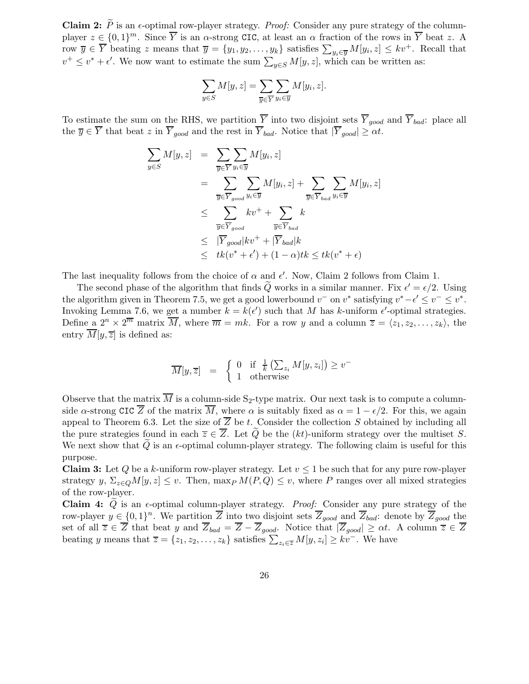Claim 2:  $\widetilde{P}$  is an  $\epsilon$ -optimal row-player strategy. *Proof:* Consider any pure strategy of the columnplayer  $z \in \{0,1\}^m$ . Since  $\overline{Y}$  is an  $\alpha$ -strong CIC, at least an  $\alpha$  fraction of the rows in  $\overline{Y}$  beat z. A row  $\overline{y} \in \overline{Y}$  beating z means that  $\overline{y} = \{y_1, y_2, \ldots, y_k\}$  satisfies  $\sum_{y_i \in \overline{y}} M[y_i, z] \leq k v^+$ . Recall that  $v^+ \leq v^* + \epsilon'$ . We now want to estimate the sum  $\sum_{y \in S} M[y, z]$ , which can be written as:

$$
\sum_{y \in S} M[y, z] = \sum_{\overline{y} \in \overline{Y}} \sum_{y_i \in \overline{y}} M[y_i, z].
$$

To estimate the sum on the RHS, we partition  $\overline{Y}$  into two disjoint sets  $\overline{Y}_{good}$  and  $\overline{Y}_{bad}$ : place all the  $\overline{y} \in \overline{Y}$  that beat z in  $\overline{Y}_{good}$  and the rest in  $\overline{Y}_{bad}$ . Notice that  $|\overline{Y}_{good}| \ge \alpha t$ .

$$
\sum_{y \in S} M[y, z] = \sum_{\overline{y} \in \overline{Y}} \sum_{y_i \in \overline{y}} M[y_i, z]
$$
  
\n
$$
= \sum_{\overline{y} \in \overline{Y}_{good}} \sum_{y_i \in \overline{y}} M[y_i, z] + \sum_{\overline{y} \in \overline{Y}_{bad}} \sum_{y_i \in \overline{y}} M[y_i, z]
$$
  
\n
$$
\leq \sum_{\overline{y} \in \overline{Y}_{good}} k v^+ + \sum_{\overline{y} \in \overline{Y}_{bad}} k
$$
  
\n
$$
\leq |\overline{Y}_{good}| k v^+ + |\overline{Y}_{bad}| k
$$
  
\n
$$
\leq tk (v^* + \epsilon') + (1 - \alpha) tk \leq tk (v^* + \epsilon)
$$

The last inequality follows from the choice of  $\alpha$  and  $\epsilon'$ . Now, Claim 2 follows from Claim 1.

The second phase of the algorithm that finds  $\tilde{Q}$  works in a similar manner. Fix  $\epsilon' = \epsilon/2$ . Using the algorithm given in Theorem 7.5, we get a good lowerbound  $v^-$  on  $v^*$  satisfying  $v^* - \epsilon' \le v^- \le v^*$ . Invoking Lemma 7.6, we get a number  $k = k(\epsilon')$  such that M has k-uniform  $\epsilon'$ -optimal strategies. Define a  $2^n \times 2^{\overline{m}}$  matrix  $\overline{M}$ , where  $\overline{m} = mk$ . For a row y and a column  $\overline{z} = \langle z_1, z_2, \ldots, z_k \rangle$ , the entry  $\overline{M}[y,\overline{z}]$  is defined as:

$$
\overline{M}[y,\overline{z}] = \begin{cases} 0 & \text{if } \frac{1}{k} \left( \sum_{z_i} M[y,z_i] \right) \ge v^- \\ 1 & \text{otherwise} \end{cases}
$$

Observe that the matrix  $\overline{M}$  is a column-side S<sub>2</sub>-type matrix. Our next task is to compute a columnside  $\alpha$ -strong CIC  $\overline{Z}$  of the matrix  $\overline{M}$ , where  $\alpha$  is suitably fixed as  $\alpha = 1 - \epsilon/2$ . For this, we again appeal to Theorem 6.3. Let the size of  $\overline{Z}$  be t. Consider the collection S obtained by including all the pure strategies found in each  $\overline{z} \in \overline{Z}$ . Let  $\overline{Q}$  be the  $(kt)$ -uniform strategy over the multiset S. We next show that  $Q$  is an  $\epsilon$ -optimal column-player strategy. The following claim is useful for this purpose.

**Claim 3:** Let Q be a k-uniform row-player strategy. Let  $v \le 1$  be such that for any pure row-player strategy y,  $\Sigma_{z\in Q}M[y,z]\leq v$ . Then, max<sub>P</sub>  $M(P,Q)\leq v$ , where P ranges over all mixed strategies of the row-player.

Claim 4:  $\tilde{Q}$  is an  $\epsilon$ -optimal column-player strategy. *Proof:* Consider any pure strategy of the row-player  $y \in \{0,1\}^n$ . We partition  $\overline{Z}$  into two disjoint sets  $\overline{Z}_{good}$  and  $\overline{Z}_{bad}$ : denote by  $\overline{Z}_{good}$  the set of all  $\overline{z} \in \overline{Z}$  that beat y and  $\overline{Z}_{bad} = \overline{Z} - \overline{Z}_{good}$ . Notice that  $|\overline{Z}_{good}| \geq \alpha t$ . A column  $\overline{z} \in \overline{Z}$ beating y means that  $\overline{z} = \{z_1, z_2, \ldots, z_k\}$  satisfies  $\sum_{z_i \in \overline{z}} M[y, z_i] \geq k v^-$ . We have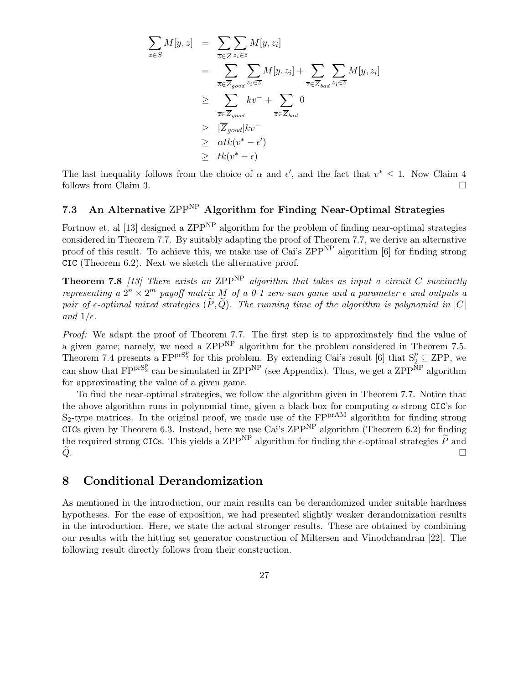$$
\sum_{z \in S} M[y, z] = \sum_{\overline{z} \in \overline{Z}} \sum_{z_i \in \overline{z}} M[y, z_i]
$$
  
\n
$$
= \sum_{\overline{z} \in \overline{Z}_{good}} \sum_{z_i \in \overline{z}} M[y, z_i] + \sum_{\overline{z} \in \overline{Z}_{bad}} \sum_{z_i \in \overline{z}} M[y, z_i]
$$
  
\n
$$
\geq \sum_{\overline{z} \in \overline{Z}_{good}} kv^- + \sum_{\overline{z} \in \overline{Z}_{bad}} 0
$$
  
\n
$$
\geq |\overline{Z}_{good}| kv^-
$$
  
\n
$$
\geq \alpha t k (v^* - \epsilon')
$$
  
\n
$$
\geq tk (v^* - \epsilon)
$$

The last inequality follows from the choice of  $\alpha$  and  $\epsilon'$ , and the fact that  $v^* \leq 1$ . Now Claim 4 follows from Claim 3.

### 7.3 An Alternative  $\text{ZPP}^{\text{NP}}$  Algorithm for Finding Near-Optimal Strategies

Fortnow et. al [13] designed a ZPP<sup>NP</sup> algorithm for the problem of finding near-optimal strategies considered in Theorem 7.7. By suitably adapting the proof of Theorem 7.7, we derive an alternative proof of this result. To achieve this, we make use of Cai's ZPP<sup>NP</sup> algorithm [6] for finding strong CIC (Theorem 6.2). Next we sketch the alternative proof.

**Theorem 7.8** [13] There exists an ZPP<sup>NP</sup> algorithm that takes as input a circuit C succinctly representing a  $2^n \times 2^m$  payoff matrix M of a 0-1 zero-sum game and a parameter  $\epsilon$  and outputs a pair of  $\epsilon$ -optimal mixed strategies  $(\widetilde{P}, \widetilde{Q})$ . The running time of the algorithm is polynomial in  $|C|$ and  $1/\epsilon$ .

Proof: We adapt the proof of Theorem 7.7. The first step is to approximately find the value of a given game; namely, we need a  $\text{ZPP}^{\text{NP}}$  algorithm for the problem considered in Theorem 7.5. Theorem 7.4 presents a  $FPT^{S_2^p}$  for this problem. By extending Cai's result [6] that  $S_2^p \subseteq ZPP$ , we can show that  $FPT^{S_2^p}$  can be simulated in  $ZPP^{NP}$  (see Appendix). Thus, we get a  $ZPP^{NP}$  algorithm for approximating the value of a given game.

To find the near-optimal strategies, we follow the algorithm given in Theorem 7.7. Notice that the above algorithm runs in polynomial time, given a black-box for computing  $\alpha$ -strong CIC's for  $S_2$ -type matrices. In the original proof, we made use of the  $FPT^{A}$  algorithm for finding strong CICs given by Theorem 6.3. Instead, here we use Cai's  $\text{ZPP}^{\text{NP}}$  algorithm (Theorem 6.2) for finding the required strong CICs. This yields a ZPP<sup>NP</sup> algorithm for finding the  $\epsilon$ -optimal strategies  $\tilde{P}$  and  $\tilde{Q}$ .  $\widetilde{Q}$ .

### 8 Conditional Derandomization

As mentioned in the introduction, our main results can be derandomized under suitable hardness hypotheses. For the ease of exposition, we had presented slightly weaker derandomization results in the introduction. Here, we state the actual stronger results. These are obtained by combining our results with the hitting set generator construction of Miltersen and Vinodchandran [22]. The following result directly follows from their construction.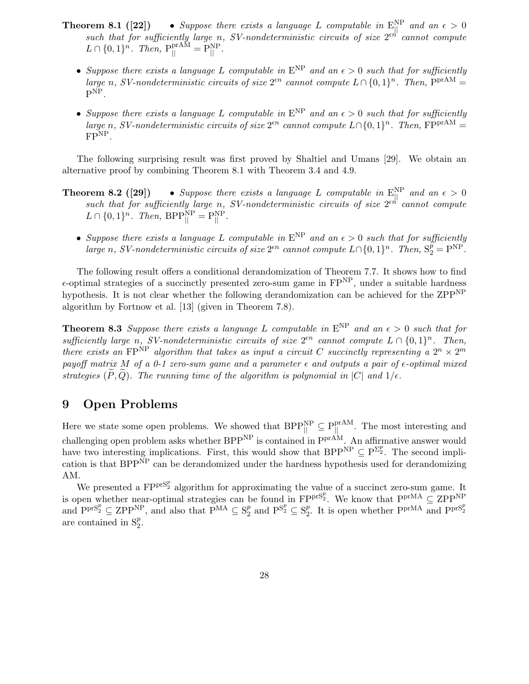- **Theorem 8.1** ([22]) Suppose there exists a language L computable in  $E_{||}^{NP}$  and an  $\epsilon > 0$ such that for sufficiently large n, SV-nondeterministic circuits of size  $2^{\epsilon n}$  cannot compute  $L \cap \{0,1\}^n$ . Then,  $P_{||}^{prAM} = P_{||}^{NP}$ .
	- Suppose there exists a language L computable in  $E^{NP}$  and an  $\epsilon > 0$  such that for sufficiently large n, SV-nondeterministic circuits of size  $2^{en}$  cannot compute  $L \cap \{0,1\}^n$ . Then,  $P^{prAM} =$  $\mathrm{P}^{\mathrm{NP}}.$
	- Suppose there exists a language L computable in  $E^{NP}$  and an  $\epsilon > 0$  such that for sufficiently large n, SV-nondeterministic circuits of size  $2^{\epsilon n}$  cannot compute  $L \cap \{0, 1\}^n$ . Then,  $FP^{prAM} =$ FPNP.

The following surprising result was first proved by Shaltiel and Umans [29]. We obtain an alternative proof by combining Theorem 8.1 with Theorem 3.4 and 4.9.

- **Theorem 8.2 ([29])** Suppose there exists a language L computable in  $E_{\parallel}^{\text{NP}}$  and an  $\epsilon > 0$ such that for sufficiently large n, SV-nondeterministic circuits of size  $2^{\epsilon h'}$  cannot compute  $L \cap \{0,1\}^n$ . Then,  $BPP_{||}^{NP} = P_{||}^{NP}$ .
	- Suppose there exists a language L computable in  $E^{NP}$  and an  $\epsilon > 0$  such that for sufficiently large n, SV-nondeterministic circuits of size  $2^{\epsilon n}$  cannot compute  $L \cap \{0, 1\}^n$ . Then,  $S_2^p = P^{NP}$ .

The following result offers a conditional derandomization of Theorem 7.7. It shows how to find  $\epsilon$ -optimal strategies of a succinctly presented zero-sum game in FP<sup>NP</sup>, under a suitable hardness hypothesis. It is not clear whether the following derandomization can be achieved for the ZPP<sup>NP</sup> algorithm by Fortnow et al. [13] (given in Theorem 7.8).

**Theorem 8.3** Suppose there exists a language L computable in  $E^{NP}$  and an  $\epsilon > 0$  such that for sufficiently large n, SV-nondeterministic circuits of size  $2^{\epsilon n}$  cannot compute  $L \cap \{0,1\}^n$ . Then, there exists an FP<sup>NP</sup> algorithm that takes as input a circuit C succinctly representing a  $2^n \times 2^m$ payoff matrix M of a 0-1 zero-sum game and a parameter  $\epsilon$  and outputs a pair of  $\epsilon$ -optimal mixed strategies  $(P, Q)$ . The running time of the algorithm is polynomial in  $|C|$  and  $1/\epsilon$ .

### 9 Open Problems

Here we state some open problems. We showed that  $BPP_{\parallel}^{NP} \subseteq P_{\parallel}^{prAM}$ . The most interesting and challenging open problem asks whether BPP<sup>NP</sup> is contained in P<sup>prAM</sup>. An affirmative answer would have two interesting implications. First, this would show that BPP<sup>NP</sup>  $\subseteq P^{\Sigma_2^p}$ . The second implication is that  $BPP^{\overline{NP}}$  can be derandomized under the hardness hypothesis used for derandomizing AM.

We presented a  $FPT^{S_2^p}$  algorithm for approximating the value of a succinct zero-sum game. It is open whether near-optimal strategies can be found in  $F P^{prS_2^p}$ . We know that  $P^{prMA} \subseteq Z P P^{NP}$ and  $P^{prS_2^p} \subseteq \mathbb{Z}PP^{NP}$ , and also that  $P^{MA} \subseteq S_2^p$  $_2^p$  and  $\mathbf{P}^{\mathbf{S}_2^p} \subseteq \mathbf{S}_2^p$ <sup>*p*</sup><sub>2</sub>. It is open whether  $P^{prMA}$  and  $P^{prS_p^p}$ are contained in  $S_2^p$ .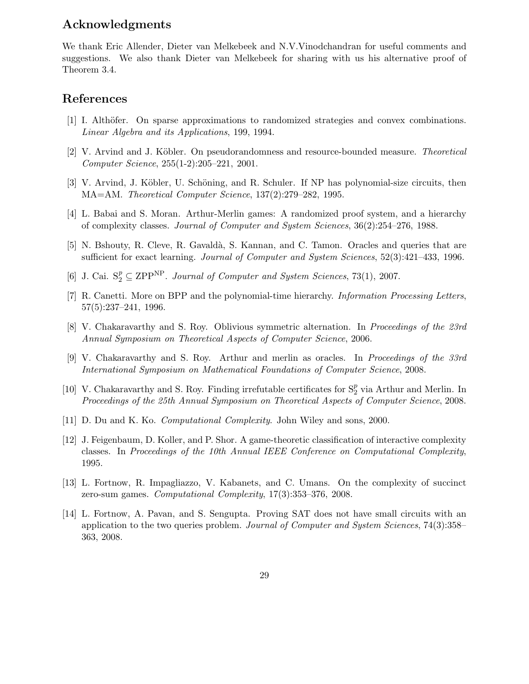### Acknowledgments

We thank Eric Allender, Dieter van Melkebeek and N.V.Vinodchandran for useful comments and suggestions. We also thank Dieter van Melkebeek for sharing with us his alternative proof of Theorem 3.4.

### References

- [1] I. Althöfer. On sparse approximations to randomized strategies and convex combinations. Linear Algebra and its Applications, 199, 1994.
- [2] V. Arvind and J. Köbler. On pseudorandomness and resource-bounded measure. Theoretical Computer Science, 255(1-2):205–221, 2001.
- [3] V. Arvind, J. Köbler, U. Schöning, and R. Schuler. If NP has polynomial-size circuits, then MA=AM. Theoretical Computer Science, 137(2):279–282, 1995.
- [4] L. Babai and S. Moran. Arthur-Merlin games: A randomized proof system, and a hierarchy of complexity classes. Journal of Computer and System Sciences, 36(2):254–276, 1988.
- [5] N. Bshouty, R. Cleve, R. Gavald`a, S. Kannan, and C. Tamon. Oracles and queries that are sufficient for exact learning. Journal of Computer and System Sciences, 52(3):421–433, 1996.
- [6] J. Cai.  $S_2^p \subseteq \text{ZPP}^{\text{NP}}$ . Journal of Computer and System Sciences, 73(1), 2007.
- [7] R. Canetti. More on BPP and the polynomial-time hierarchy. *Information Processing Letters*, 57(5):237–241, 1996.
- [8] V. Chakaravarthy and S. Roy. Oblivious symmetric alternation. In Proceedings of the 23rd Annual Symposium on Theoretical Aspects of Computer Science, 2006.
- [9] V. Chakaravarthy and S. Roy. Arthur and merlin as oracles. In Proceedings of the 33rd International Symposium on Mathematical Foundations of Computer Science, 2008.
- [10] V. Chakaravarthy and S. Roy. Finding irrefutable certificates for  $S_2^p$  via Arthur and Merlin. In Proceedings of the 25th Annual Symposium on Theoretical Aspects of Computer Science, 2008.
- [11] D. Du and K. Ko. Computational Complexity. John Wiley and sons, 2000.
- [12] J. Feigenbaum, D. Koller, and P. Shor. A game-theoretic classification of interactive complexity classes. In Proceedings of the 10th Annual IEEE Conference on Computational Complexity, 1995.
- [13] L. Fortnow, R. Impagliazzo, V. Kabanets, and C. Umans. On the complexity of succinct zero-sum games. Computational Complexity, 17(3):353–376, 2008.
- [14] L. Fortnow, A. Pavan, and S. Sengupta. Proving SAT does not have small circuits with an application to the two queries problem. Journal of Computer and System Sciences, 74(3):358– 363, 2008.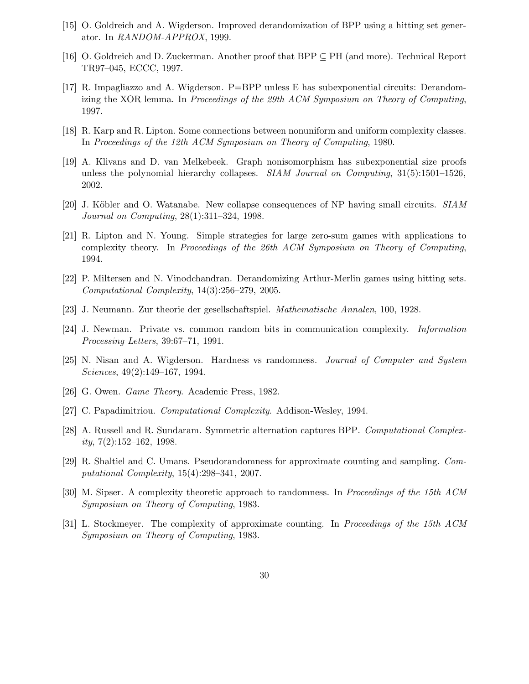- [15] O. Goldreich and A. Wigderson. Improved derandomization of BPP using a hitting set generator. In RANDOM-APPROX, 1999.
- [16] O. Goldreich and D. Zuckerman. Another proof that BPP ⊆ PH (and more). Technical Report TR97–045, ECCC, 1997.
- [17] R. Impagliazzo and A. Wigderson. P=BPP unless E has subexponential circuits: Derandomizing the XOR lemma. In Proceedings of the 29th ACM Symposium on Theory of Computing, 1997.
- [18] R. Karp and R. Lipton. Some connections between nonuniform and uniform complexity classes. In Proceedings of the 12th ACM Symposium on Theory of Computing, 1980.
- [19] A. Klivans and D. van Melkebeek. Graph nonisomorphism has subexponential size proofs unless the polynomial hierarchy collapses. *SIAM Journal on Computing*,  $31(5):1501-1526$ , 2002.
- [20] J. Köbler and O. Watanabe. New collapse consequences of NP having small circuits. SIAM Journal on Computing, 28(1):311–324, 1998.
- [21] R. Lipton and N. Young. Simple strategies for large zero-sum games with applications to complexity theory. In Proceedings of the 26th ACM Symposium on Theory of Computing, 1994.
- [22] P. Miltersen and N. Vinodchandran. Derandomizing Arthur-Merlin games using hitting sets. Computational Complexity, 14(3):256–279, 2005.
- [23] J. Neumann. Zur theorie der gesellschaftspiel. Mathematische Annalen, 100, 1928.
- [24] J. Newman. Private vs. common random bits in communication complexity. Information Processing Letters, 39:67–71, 1991.
- [25] N. Nisan and A. Wigderson. Hardness vs randomness. Journal of Computer and System Sciences, 49(2):149–167, 1994.
- [26] G. Owen. Game Theory. Academic Press, 1982.
- [27] C. Papadimitriou. Computational Complexity. Addison-Wesley, 1994.
- [28] A. Russell and R. Sundaram. Symmetric alternation captures BPP. Computational Complex $ity, 7(2):152–162, 1998.$
- [29] R. Shaltiel and C. Umans. Pseudorandomness for approximate counting and sampling. Computational Complexity, 15(4):298–341, 2007.
- [30] M. Sipser. A complexity theoretic approach to randomness. In Proceedings of the 15th ACM Symposium on Theory of Computing, 1983.
- [31] L. Stockmeyer. The complexity of approximate counting. In Proceedings of the 15th ACM Symposium on Theory of Computing, 1983.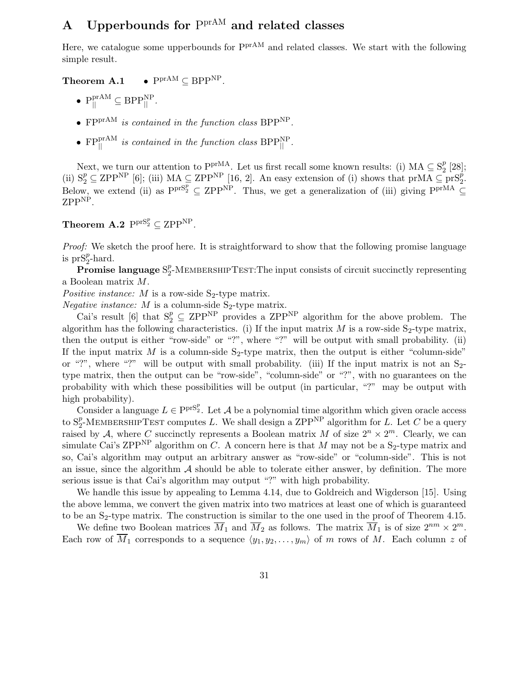# A Upperbounds for  $P<sup>prAM</sup>$  and related classes

Here, we catalogue some upperbounds for  $P^{\text{prAM}}$  and related classes. We start with the following simple result.

Theorem A.1 •  $P^{prAM} \subseteq BPP^{NP}$ .

- $P_{\parallel}^{\text{prAM}} \subseteq BPP_{\parallel}^{\text{NP}}$ .
- $FPT^{AM}$  is contained in the function class BPP<sup>NP</sup>.
- $FPT_{\parallel}^{\text{prAM}}$  is contained in the function class  $BPP_{\parallel}^{\text{NP}}$ .

Next, we turn our attention to  $PPT<sup>MA</sup>$ . Let us first recall some known results: (i) MA  $\subseteq S_2^p$  $\frac{p}{2}$  [28]; (ii)  $S_2^p \subseteq \text{ZPP}^{\text{NP}}$  [6]; (iii)  $MA \subseteq \text{ZPP}^{\text{NP}}$  [16, 2]. An easy extension of (i) shows that prMA  $\subseteq \text{prS}_2^p$ . Below, we extend (ii) as  $PprS_2^p \subseteq ZPP<sup>NP</sup>$ . Thus, we get a generalization of (iii) giving  $Ppr<sup>MA</sup> \subseteq$ ZPP<sup>NP</sup>.

## Theorem A.2  $\mathrm{P}^{\mathrm{prS}_2^p} \subseteq \mathrm{ZPP}^{\mathrm{NP}}$ .

Proof: We sketch the proof here. It is straightforward to show that the following promise language is  $prS_2^p$ -hard.

 $\tilde{\operatorname{Promise}}$  language  $\mathrm{S}_2^p$  $\frac{p}{2}$ -MEMBERSHIPTEST:The input consists of circuit succinctly representing a Boolean matrix M.

Positive instance: M is a row-side  $S_2$ -type matrix.

*Negative instance:*  $M$  is a column-side  $S_2$ -type matrix.

Cai's result [6] that  $S_2^p \subseteq \mathbb{ZPP}^{\mathbb{NP}}$  provides a  $\mathbb{ZPP}^{\mathbb{NP}}$  algorithm for the above problem. The algorithm has the following characteristics. (i) If the input matrix  $M$  is a row-side  $S_2$ -type matrix, then the output is either "row-side" or "?", where "?" will be output with small probability. (ii) If the input matrix M is a column-side  $S_2$ -type matrix, then the output is either "column-side" or "?", where "?" will be output with small probability. (iii) If the input matrix is not an  $S_{2}$ type matrix, then the output can be "row-side", "column-side" or "?", with no guarantees on the probability with which these possibilities will be output (in particular, "?" may be output with high probability).

Consider a language  $L \in \text{P}^{\text{prS}_2^p}$ . Let A be a polynomial time algorithm which given oracle access to  $S_2^p$ -MEMBERSHIPTEST computes L. We shall design a ZPP<sup>NP</sup> algorithm for L. Let C be a query raised by A, where C succinctly represents a Boolean matrix M of size  $2^n \times 2^m$ . Clearly, we can simulate Cai's ZPP<sup>NP</sup> algorithm on C. A concern here is that M may not be a  $S_2$ -type matrix and so, Cai's algorithm may output an arbitrary answer as "row-side" or "column-side". This is not an issue, since the algorithm  $A$  should be able to tolerate either answer, by definition. The more serious issue is that Cai's algorithm may output "?" with high probability.

We handle this issue by appealing to Lemma 4.14, due to Goldreich and Wigderson [15]. Using the above lemma, we convert the given matrix into two matrices at least one of which is guaranteed to be an  $S_2$ -type matrix. The construction is similar to the one used in the proof of Theorem 4.15.

We define two Boolean matrices  $\overline{M}_1$  and  $\overline{M}_2$  as follows. The matrix  $\overline{M}_1$  is of size  $2^{nm} \times 2^m$ . Each row of  $\overline{M}_1$  corresponds to a sequence  $\langle y_1, y_2, \ldots, y_m \rangle$  of m rows of M. Each column z of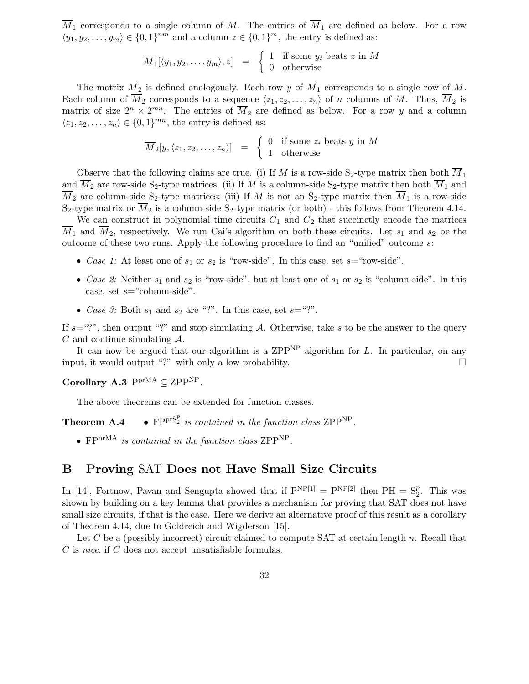$\overline{M}_1$  corresponds to a single column of M. The entries of  $\overline{M}_1$  are defined as below. For a row  $\langle y_1, y_2, \ldots, y_m \rangle \in \{0, 1\}^{nm}$  and a column  $z \in \{0, 1\}^m$ , the entry is defined as:

$$
\overline{M}_1[\langle y_1, y_2, \dots, y_m \rangle, z] = \begin{cases} 1 & \text{if some } y_i \text{ beats } z \text{ in } M \\ 0 & \text{otherwise} \end{cases}
$$

The matrix  $\overline{M}_2$  is defined analogously. Each row y of  $\overline{M}_1$  corresponds to a single row of M. Each column of  $\overline{M}_2$  corresponds to a sequence  $\langle z_1, z_2, \ldots, z_n \rangle$  of n columns of M. Thus,  $\overline{M}_2$  is matrix of size  $2^n \times 2^{mn}$ . The entries of  $\overline{M}_2$  are defined as below. For a row y and a column  $\langle z_1, z_2, \ldots, z_n \rangle \in \{0, 1\}^{mn}$ , the entry is defined as:

$$
\overline{M}_2[y, \langle z_1, z_2, \dots, z_n \rangle] = \begin{cases} 0 & \text{if some } z_i \text{ beats } y \text{ in } M \\ 1 & \text{otherwise} \end{cases}
$$

Observe that the following claims are true. (i) If M is a row-side S<sub>2</sub>-type matrix then both  $\overline{M}_1$ and  $\overline{M}_2$  are row-side S<sub>2</sub>-type matrices; (ii) If M is a column-side S<sub>2</sub>-type matrix then both  $\overline{M}_1$  and  $\overline{M}_2$  are column-side S<sub>2</sub>-type matrices; (iii) If M is not an S<sub>2</sub>-type matrix then  $\overline{M}_1$  is a row-side S<sub>2</sub>-type matrix or  $\overline{M}_2$  is a column-side S<sub>2</sub>-type matrix (or both) - this follows from Theorem 4.14.

We can construct in polynomial time circuits  $\overline{C}_1$  and  $\overline{C}_2$  that succinctly encode the matrices  $\overline{M}_1$  and  $\overline{M}_2$ , respectively. We run Cai's algorithm on both these circuits. Let  $s_1$  and  $s_2$  be the outcome of these two runs. Apply the following procedure to find an "unified" outcome s:

- Case 1: At least one of  $s_1$  or  $s_2$  is "row-side". In this case, set  $s=$  "row-side".
- Case 2: Neither  $s_1$  and  $s_2$  is "row-side", but at least one of  $s_1$  or  $s_2$  is "column-side". In this case, set  $s$ = "column-side".
- Case 3: Both  $s_1$  and  $s_2$  are "?". In this case, set  $s =$ "?".

If  $s=$ "?", then output "?" and stop simulating A. Otherwise, take s to be the answer to the query  $C$  and continue simulating  $\mathcal{A}$ .

It can now be argued that our algorithm is a ZPP<sup>NP</sup> algorithm for  $L$ . In particular, on any input, it would output "?" with only a low probability.  $\square$ 

Corollary A.3  $P<sup>prMA</sup> \subseteq ZPP<sup>NP</sup>$ .

The above theorems can be extended for function classes.

Theorem A.4 •  $FPT^{SP}_{2}$  is contained in the function class ZPP<sup>NP</sup>.

•  $FPT^{MA}$  is contained in the function class ZPP<sup>NP</sup>.

### B Proving SAT Does not Have Small Size Circuits

In [14], Fortnow, Pavan and Sengupta showed that if  $P^{NP[1]} = P^{NP[2]}$  then  $PH = S_2^p$ . This was shown by building on a key lemma that provides a mechanism for proving that SAT does not have small size circuits, if that is the case. Here we derive an alternative proof of this result as a corollary of Theorem 4.14, due to Goldreich and Wigderson [15].

Let C be a (possibly incorrect) circuit claimed to compute SAT at certain length  $n$ . Recall that C is nice, if C does not accept unsatisfiable formulas.